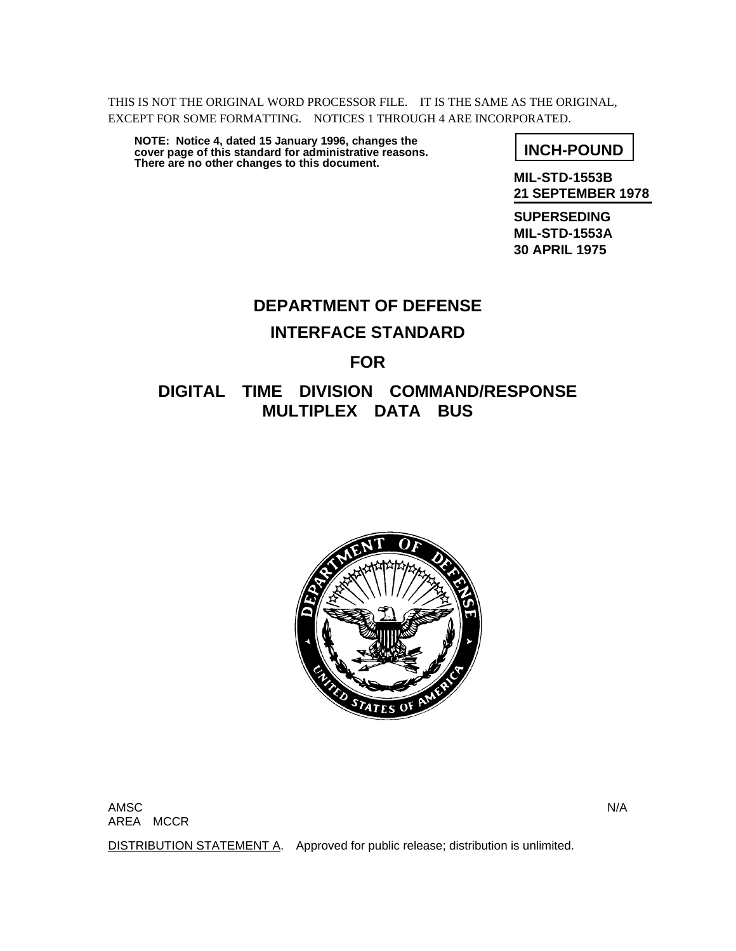THIS IS NOT THE ORIGINAL WORD PROCESSOR FILE. IT IS THE SAME AS THE ORIGINAL, EXCEPT FOR SOME FORMATTING. NOTICES 1 THROUGH 4 ARE INCORPORATED.

**INCH-POUND NOTE: Notice 4, dated 15 January 1996, changes the cover page of this standard for administrative reasons. There are no other changes to this document.**

**MIL-STD-1553B 21 SEPTEMBER 1978**

**SUPERSEDING MIL-STD-1553A 30 APRIL 1975**

# **DEPARTMENT OF DEFENSE INTERFACE STANDARD FOR**

# **DIGITAL TIME DIVISION COMMAND/RESPONSE MULTIPLEX DATA BUS**



AMSC N/A AREA MCCR

DISTRIBUTION STATEMENT A. Approved for public release; distribution is unlimited.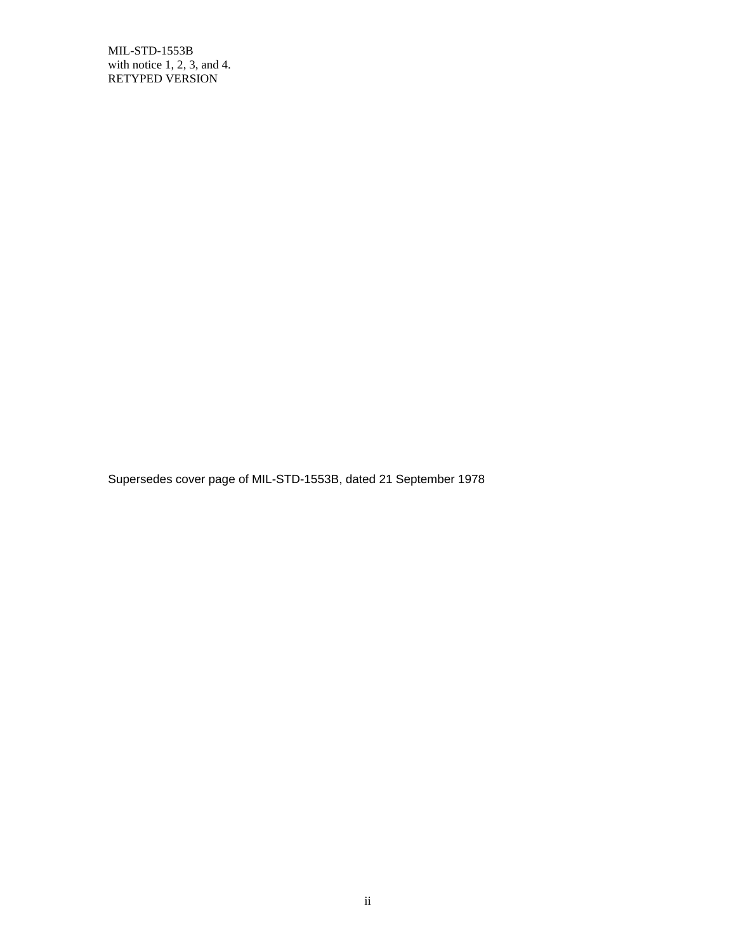Supersedes cover page of MIL-STD-1553B, dated 21 September 1978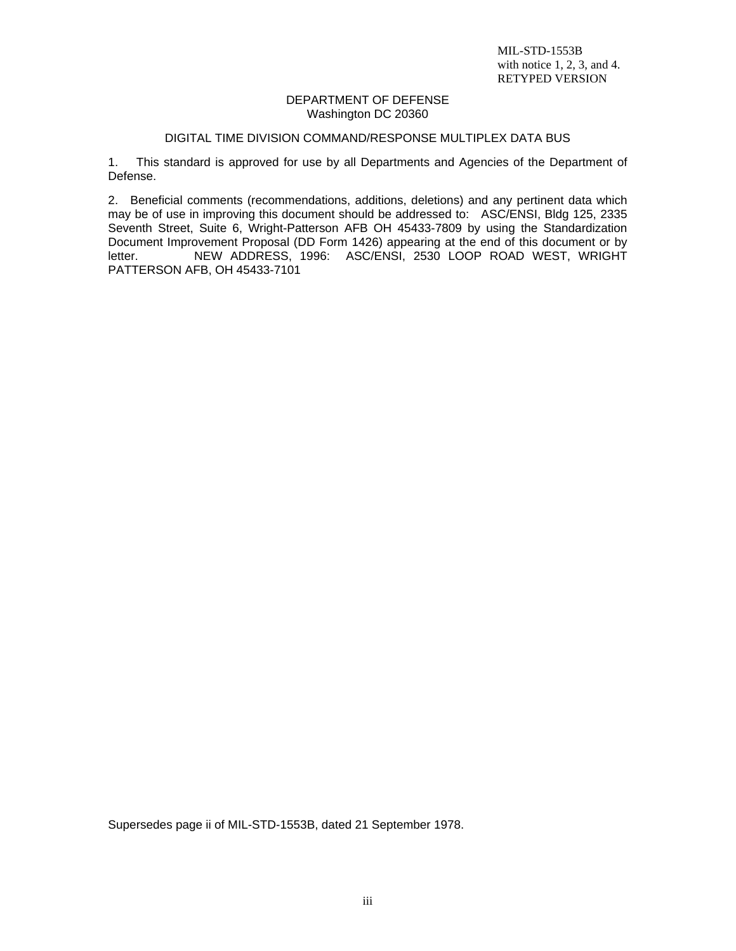#### DEPARTMENT OF DEFENSE Washington DC 20360

#### DIGITAL TIME DIVISION COMMAND/RESPONSE MULTIPLEX DATA BUS

1. This standard is approved for use by all Departments and Agencies of the Department of Defense.

2. Beneficial comments (recommendations, additions, deletions) and any pertinent data which may be of use in improving this document should be addressed to: ASC/ENSI, Bldg 125, 2335 Seventh Street, Suite 6, Wright-Patterson AFB OH 45433-7809 by using the Standardization Document Improvement Proposal (DD Form 1426) appearing at the end of this document or by letter. NEW ADDRESS, 1996: ASC/ENSI, 2530 LOOP ROAD WEST, WRIGHT PATTERSON AFB, OH 45433-7101

Supersedes page ii of MIL-STD-1553B, dated 21 September 1978.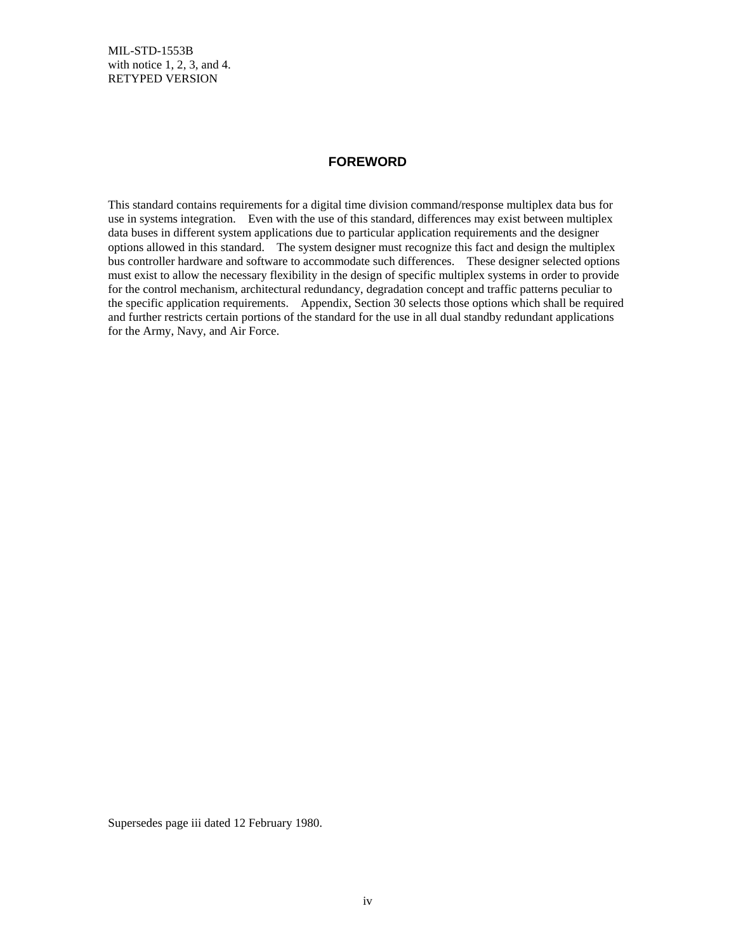#### **FOREWORD**

This standard contains requirements for a digital time division command/response multiplex data bus for use in systems integration. Even with the use of this standard, differences may exist between multiplex data buses in different system applications due to particular application requirements and the designer options allowed in this standard. The system designer must recognize this fact and design the multiplex bus controller hardware and software to accommodate such differences. These designer selected options must exist to allow the necessary flexibility in the design of specific multiplex systems in order to provide for the control mechanism, architectural redundancy, degradation concept and traffic patterns peculiar to the specific application requirements. Appendix, Section 30 selects those options which shall be required and further restricts certain portions of the standard for the use in all dual standby redundant applications for the Army, Navy, and Air Force.

Supersedes page iii dated 12 February 1980.

iv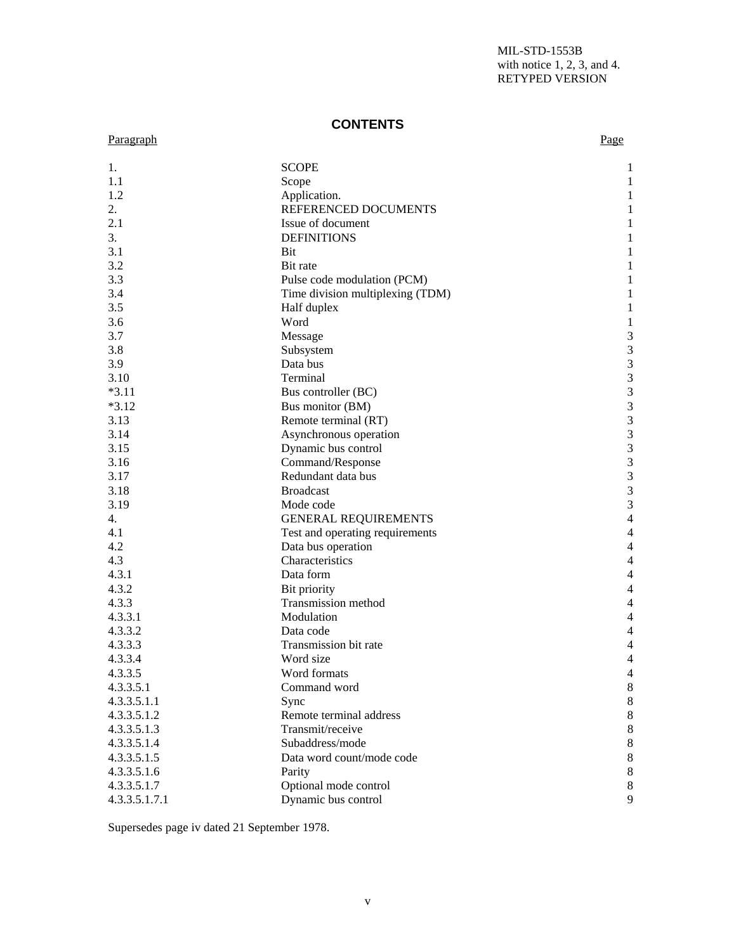# **CONTENTS**

# Paragraph Paragraph Page

| 1.            | <b>SCOPE</b>                     | 1                           |
|---------------|----------------------------------|-----------------------------|
| 1.1           | Scope                            | 1                           |
| 1.2           | Application.                     | 1                           |
| 2.            | REFERENCED DOCUMENTS             | 1                           |
| 2.1           | Issue of document                | 1                           |
| 3.            | <b>DEFINITIONS</b>               | 1                           |
| 3.1           | <b>Bit</b>                       | 1                           |
| 3.2           | Bit rate                         | 1                           |
| 3.3           | Pulse code modulation (PCM)      | 1                           |
| 3.4           | Time division multiplexing (TDM) | 1                           |
| 3.5           | Half duplex                      | 1                           |
| 3.6           | Word                             | $\mathbf{1}$                |
| 3.7           | Message                          | $\mathfrak{Z}$              |
| 3.8           | Subsystem                        | $\mathfrak{Z}$              |
| 3.9           | Data bus                         | $\mathfrak{Z}$              |
| 3.10          | Terminal                         | $\mathfrak{Z}$              |
| $*3.11$       | Bus controller (BC)              | $\mathfrak{Z}$              |
| $*3.12$       | Bus monitor (BM)                 | $\mathfrak{Z}$              |
| 3.13          | Remote terminal (RT)             | $\sqrt{3}$                  |
| 3.14          | Asynchronous operation           | $\mathfrak 3$               |
| 3.15          | Dynamic bus control              | $\mathfrak 3$               |
| 3.16          | Command/Response                 | $\mathfrak 3$               |
| 3.17          | Redundant data bus               | $\ensuremath{\mathfrak{Z}}$ |
| 3.18          | <b>Broadcast</b>                 | $\mathfrak 3$               |
| 3.19          | Mode code                        | $\mathfrak 3$               |
| 4.            | <b>GENERAL REQUIREMENTS</b>      | $\overline{4}$              |
| 4.1           | Test and operating requirements  | $\overline{4}$              |
| 4.2           | Data bus operation               | $\overline{4}$              |
| 4.3           | Characteristics                  | $\overline{4}$              |
| 4.3.1         | Data form                        | $\overline{4}$              |
| 4.3.2         | Bit priority                     | $\overline{4}$              |
| 4.3.3         | Transmission method              | $\overline{4}$              |
| 4.3.3.1       | Modulation                       | $\overline{4}$              |
| 4.3.3.2       |                                  |                             |
|               | Data code                        | 4<br>$\overline{4}$         |
| 4.3.3.3       | Transmission bit rate            |                             |
| 4.3.3.4       | Word size                        | $\overline{4}$              |
| 4.3.3.5       | Word formats                     | $\overline{4}$              |
| 4.3.3.5.1     | Command word                     | 8                           |
| 4.3.3.5.1.1   | Sync                             | 8                           |
| 4.3.3.5.1.2   | Remote terminal address          | $8\,$                       |
| 4.3.3.5.1.3   | Transmit/receive                 | $8\,$                       |
| 4.3.3.5.1.4   | Subaddress/mode                  | $\,8\,$                     |
| 4.3.3.5.1.5   | Data word count/mode code        | $8\,$                       |
| 4.3.3.5.1.6   | Parity                           | 8                           |
| 4.3.3.5.1.7   | Optional mode control            | 8                           |
| 4.3.3.5.1.7.1 | Dynamic bus control              | 9                           |

Supersedes page iv dated 21 September 1978.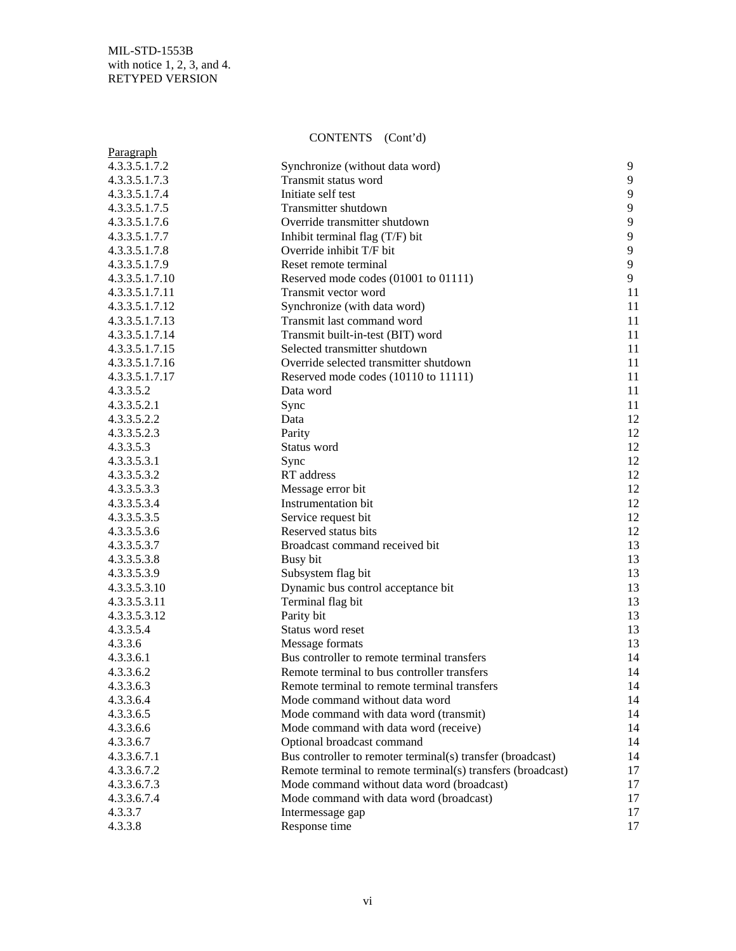# CONTENTS (Cont'd)

| Paragraph      |                                                             |    |
|----------------|-------------------------------------------------------------|----|
| 4.3.3.5.1.7.2  | Synchronize (without data word)                             | 9  |
| 4.3.3.5.1.7.3  | Transmit status word                                        | 9  |
| 4.3.3.5.1.7.4  | Initiate self test                                          | 9  |
| 4.3.3.5.1.7.5  | Transmitter shutdown                                        | 9  |
| 4.3.3.5.1.7.6  | Override transmitter shutdown                               | 9  |
| 4.3.3.5.1.7.7  | Inhibit terminal flag (T/F) bit                             | 9  |
| 4.3.3.5.1.7.8  | Override inhibit T/F bit                                    | 9  |
| 4.3.3.5.1.7.9  | Reset remote terminal                                       | 9  |
| 4.3.3.5.1.7.10 | Reserved mode codes (01001 to 01111)                        | 9  |
| 4.3.3.5.1.7.11 | Transmit vector word                                        | 11 |
| 4.3.3.5.1.7.12 | Synchronize (with data word)                                | 11 |
| 4.3.3.5.1.7.13 | Transmit last command word                                  | 11 |
| 4.3.3.5.1.7.14 | Transmit built-in-test (BIT) word                           | 11 |
| 4.3.3.5.1.7.15 | Selected transmitter shutdown                               | 11 |
| 4.3.3.5.1.7.16 | Override selected transmitter shutdown                      | 11 |
| 4.3.3.5.1.7.17 | Reserved mode codes (10110 to 11111)                        | 11 |
| 4.3.3.5.2      | Data word                                                   | 11 |
| 4.3.3.5.2.1    | Sync                                                        | 11 |
| 4.3.3.5.2.2    | Data                                                        | 12 |
| 4.3.3.5.2.3    | Parity                                                      | 12 |
| 4.3.3.5.3      | Status word                                                 | 12 |
| 4.3.3.5.3.1    | Sync                                                        | 12 |
| 4.3.3.5.3.2    | RT address                                                  | 12 |
| 4.3.3.5.3.3    | Message error bit                                           | 12 |
| 4.3.3.5.3.4    | Instrumentation bit                                         | 12 |
| 4.3.3.5.3.5    | Service request bit                                         | 12 |
| 4.3.3.5.3.6    | Reserved status bits                                        | 12 |
| 4.3.3.5.3.7    | Broadcast command received bit                              | 13 |
| 4.3.3.5.3.8    | Busy bit                                                    | 13 |
| 4.3.3.5.3.9    | Subsystem flag bit                                          | 13 |
| 4.3.3.5.3.10   | Dynamic bus control acceptance bit                          | 13 |
| 4.3.3.5.3.11   | Terminal flag bit                                           | 13 |
| 4.3.3.5.3.12   | Parity bit                                                  | 13 |
| 4.3.3.5.4      | Status word reset                                           | 13 |
| 4.3.3.6        | Message formats                                             | 13 |
| 4.3.3.6.1      | Bus controller to remote terminal transfers                 | 14 |
| 4.3.3.6.2      | Remote terminal to bus controller transfers                 | 14 |
| 4.3.3.6.3      | Remote terminal to remote terminal transfers                | 14 |
| 4.3.3.6.4      | Mode command without data word                              | 14 |
| 4.3.3.6.5      | Mode command with data word (transmit)                      | 14 |
| 4.3.3.6.6      | Mode command with data word (receive)                       | 14 |
| 4.3.3.6.7      | Optional broadcast command                                  | 14 |
| 4.3.3.6.7.1    | Bus controller to remoter terminal(s) transfer (broadcast)  | 14 |
| 4.3.3.6.7.2    | Remote terminal to remote terminal(s) transfers (broadcast) | 17 |
| 4.3.3.6.7.3    | Mode command without data word (broadcast)                  | 17 |
| 4.3.3.6.7.4    | Mode command with data word (broadcast)                     | 17 |
| 4.3.3.7        | Intermessage gap                                            | 17 |
| 4.3.3.8        | Response time                                               | 17 |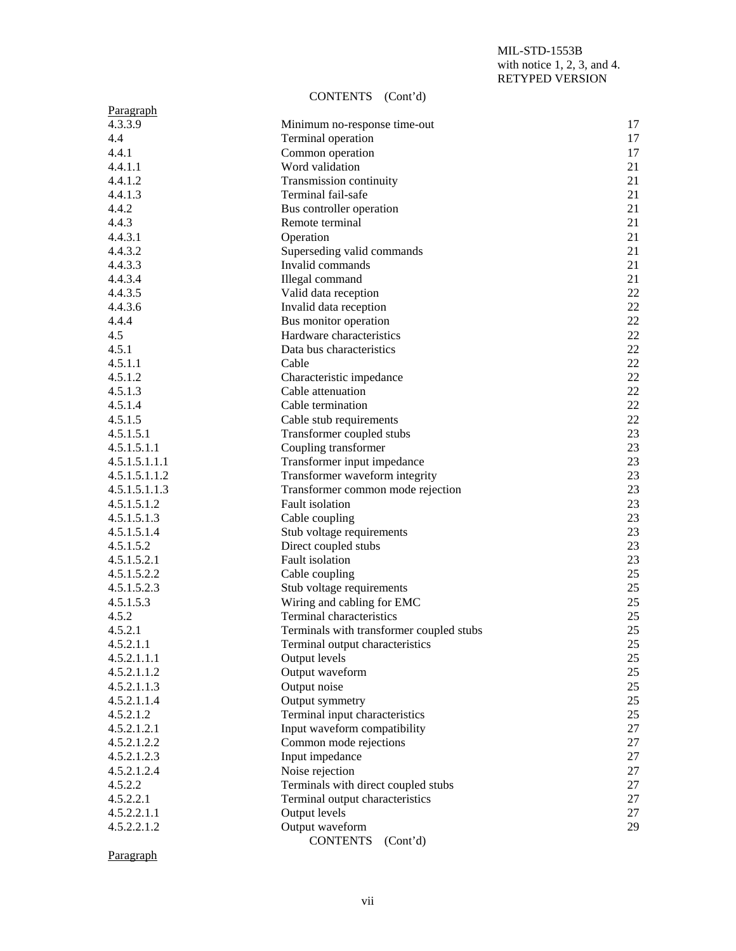#### CONTENTS (Cont'd)

| Paragraph     |                                                             |    |
|---------------|-------------------------------------------------------------|----|
| 4.3.3.9       | Minimum no-response time-out                                | 17 |
| 4.4           | Terminal operation                                          | 17 |
| 4.4.1         | Common operation                                            | 17 |
| 4.4.1.1       | Word validation                                             | 21 |
| 4.4.1.2       | Transmission continuity                                     | 21 |
| 4.4.1.3       | Terminal fail-safe                                          | 21 |
| 4.4.2         | Bus controller operation                                    | 21 |
| 4.4.3         | Remote terminal                                             | 21 |
| 4.4.3.1       | Operation                                                   | 21 |
| 4.4.3.2       | Superseding valid commands                                  | 21 |
| 4.4.3.3       | Invalid commands                                            | 21 |
| 4.4.3.4       | Illegal command                                             | 21 |
| 4.4.3.5       | Valid data reception                                        | 22 |
| 4.4.3.6       | Invalid data reception                                      | 22 |
| 4.4.4         | Bus monitor operation                                       | 22 |
| 4.5           | Hardware characteristics                                    | 22 |
| 4.5.1         | Data bus characteristics                                    | 22 |
| 4.5.1.1       | Cable                                                       | 22 |
| 4.5.1.2       | Characteristic impedance                                    | 22 |
| 4.5.1.3       | Cable attenuation                                           | 22 |
| 4.5.1.4       | Cable termination                                           | 22 |
| 4.5.1.5       | Cable stub requirements                                     | 22 |
| 4.5.1.5.1     | Transformer coupled stubs                                   | 23 |
| 4.5.1.5.1.1   | Coupling transformer                                        | 23 |
| 4.5.1.5.1.1.1 | Transformer input impedance                                 | 23 |
| 4.5.1.5.1.1.2 | Transformer waveform integrity                              | 23 |
| 4.5.1.5.1.1.3 | Transformer common mode rejection                           | 23 |
| 4.5.1.5.1.2   | Fault isolation                                             | 23 |
| 4.5.1.5.1.3   | Cable coupling                                              | 23 |
| 4.5.1.5.1.4   | Stub voltage requirements                                   | 23 |
| 4.5.1.5.2     | Direct coupled stubs                                        | 23 |
| 4.5.1.5.2.1   | Fault isolation                                             | 23 |
| 4.5.1.5.2.2   | Cable coupling                                              | 25 |
| 4.5.1.5.2.3   | Stub voltage requirements                                   | 25 |
| 4.5.1.5.3     | Wiring and cabling for EMC                                  | 25 |
| 4.5.2         | Terminal characteristics                                    | 25 |
| 4.5.2.1       | Terminals with transformer coupled stubs                    | 25 |
| 4.5.2.1.1     |                                                             | 25 |
| 4.5.2.1.1.1   | Terminal output characteristics<br>Output levels            | 25 |
| 4.5.2.1.1.2   | Output waveform                                             | 25 |
| 4.5.2.1.1.3   | Output noise                                                | 25 |
| 4.5.2.1.1.4   | Output symmetry                                             | 25 |
| 4.5.2.1.2     | Terminal input characteristics                              | 25 |
| 4.5.2.1.2.1   | Input waveform compatibility                                | 27 |
|               |                                                             |    |
| 4.5.2.1.2.2   | Common mode rejections                                      | 27 |
| 4.5.2.1.2.3   | Input impedance                                             | 27 |
| 4.5.2.1.2.4   | Noise rejection                                             | 27 |
| 4.5.2.2       | Terminals with direct coupled stubs                         | 27 |
| 4.5.2.2.1     | Terminal output characteristics                             | 27 |
| 4.5.2.2.1.1   | Output levels                                               | 27 |
| 4.5.2.2.1.2   | Output waveform<br><b>CONTENTS</b><br>(Cont <sup>'</sup> d) | 29 |

Paragraph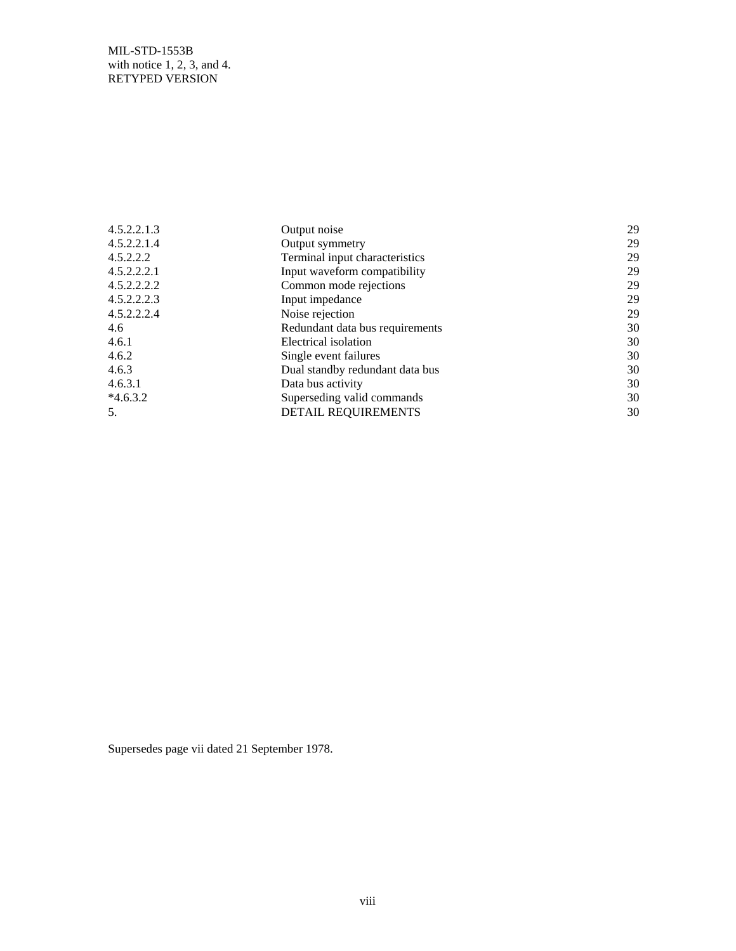| 4.5.2.2.1.3 | Output noise                    | 29 |
|-------------|---------------------------------|----|
| 4.5.2.2.1.4 | Output symmetry                 | 29 |
| 4.5.2.2.2   | Terminal input characteristics  | 29 |
| 4.5.2.2.2.1 | Input waveform compatibility    | 29 |
| 4.5.2.2.2.2 | Common mode rejections          | 29 |
| 4.5.2.2.2.3 | Input impedance                 | 29 |
| 4.5.2.2.2.4 | Noise rejection                 | 29 |
| 4.6         | Redundant data bus requirements | 30 |
| 4.6.1       | Electrical isolation            | 30 |
| 4.6.2       | Single event failures           | 30 |
| 4.6.3       | Dual standby redundant data bus | 30 |
| 4.6.3.1     | Data bus activity               | 30 |
| $*4.6.3.2$  | Superseding valid commands      | 30 |
| 5.          | DETAIL REQUIREMENTS             | 30 |

Supersedes page vii dated 21 September 1978.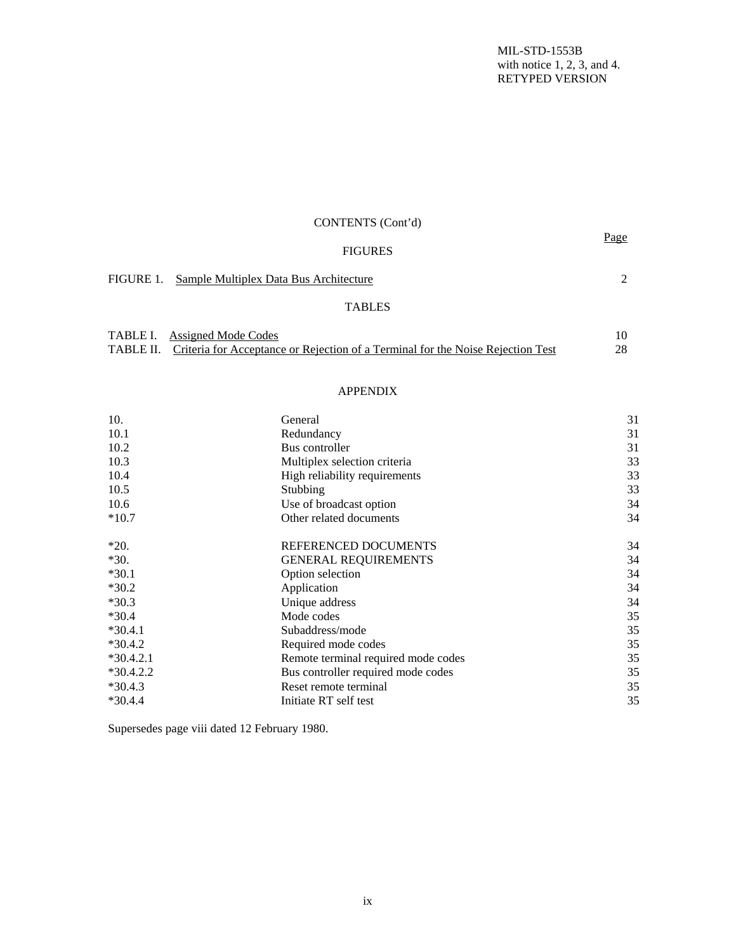| CONTENTS (Cont'd)                                |           |
|--------------------------------------------------|-----------|
| <b>FIGURES</b>                                   | Page      |
| FIGURE 1. Sample Multiplex Data Bus Architecture | $\bigcap$ |
| <b>TABLES</b>                                    |           |

| <b>TABLE I.</b> Assigned Mode Codes                                                       |     |
|-------------------------------------------------------------------------------------------|-----|
| TABLE II. Criteria for Acceptance or Rejection of a Terminal for the Noise Rejection Test | 28. |

#### APPENDIX

| 10.         | General                             | 31 |
|-------------|-------------------------------------|----|
| 10.1        | Redundancy                          | 31 |
| 10.2        | Bus controller                      | 31 |
| 10.3        | Multiplex selection criteria        | 33 |
| 10.4        | High reliability requirements       | 33 |
| 10.5        | Stubbing                            | 33 |
| 10.6        | Use of broadcast option             | 34 |
| $*10.7$     | Other related documents             | 34 |
| $*20.$      | REFERENCED DOCUMENTS                | 34 |
| $*30.$      | <b>GENERAL REQUIREMENTS</b>         | 34 |
| $*30.1$     | Option selection                    | 34 |
| $*30.2$     | Application                         | 34 |
| $*30.3$     | Unique address                      | 34 |
| $*30.4$     | Mode codes                          | 35 |
| $*30.4.1$   | Subaddress/mode                     | 35 |
| $*30.4.2$   | Required mode codes                 | 35 |
| $*30.4.2.1$ | Remote terminal required mode codes | 35 |
| $*30.4.2.2$ | Bus controller required mode codes  | 35 |
| $*30.4.3$   | Reset remote terminal               | 35 |
| $*30.4.4$   | Initiate RT self test               | 35 |

Supersedes page viii dated 12 February 1980.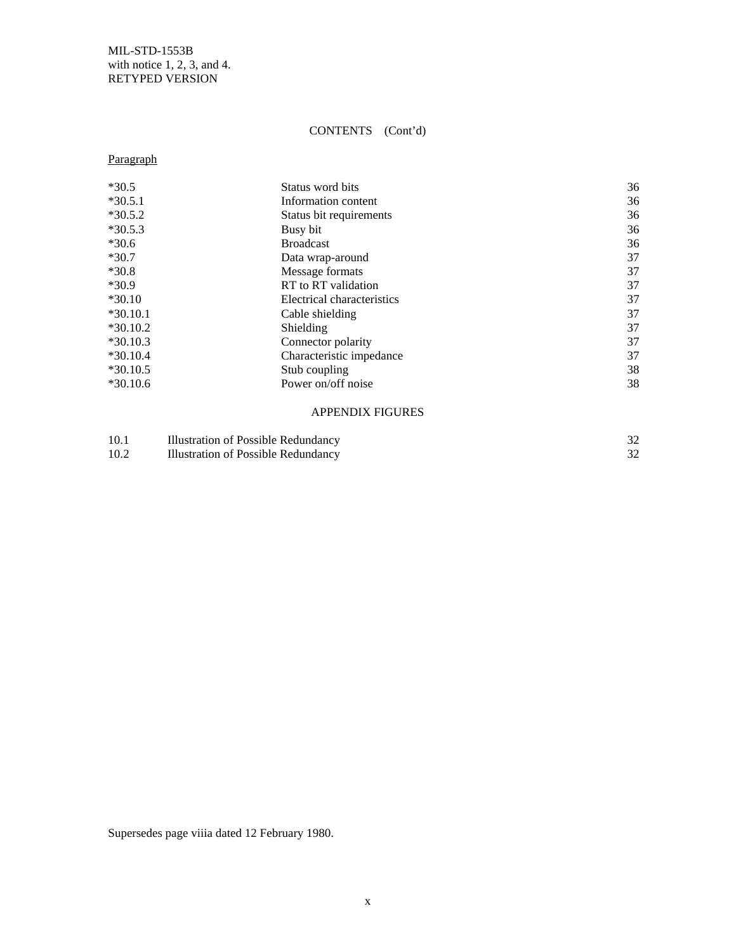# CONTENTS (Cont'd)

# Paragraph

| $*30.5$    | Status word bits           | 36 |
|------------|----------------------------|----|
| $*30.5.1$  | Information content        | 36 |
| $*30.5.2$  | Status bit requirements    | 36 |
| $*30.5.3$  | Busy bit                   | 36 |
| $*30.6$    | <b>Broadcast</b>           | 36 |
| $*30.7$    | Data wrap-around           | 37 |
| $*30.8$    | Message formats            | 37 |
| $*30.9$    | RT to RT validation        | 37 |
| $*30.10$   | Electrical characteristics | 37 |
| $*30.10.1$ | Cable shielding            | 37 |
| $*30.10.2$ | Shielding                  | 37 |
| $*30.10.3$ | Connector polarity         | 37 |
| $*30.10.4$ | Characteristic impedance   | 37 |
| $*30.10.5$ | Stub coupling              | 38 |
| $*30.10.6$ | Power on/off noise         | 38 |
|            |                            |    |

#### APPENDIX FIGURES

| 10.1 | Illustration of Possible Redundancy |  |
|------|-------------------------------------|--|
| 10.2 | Illustration of Possible Redundancy |  |

Supersedes page viiia dated 12 February 1980.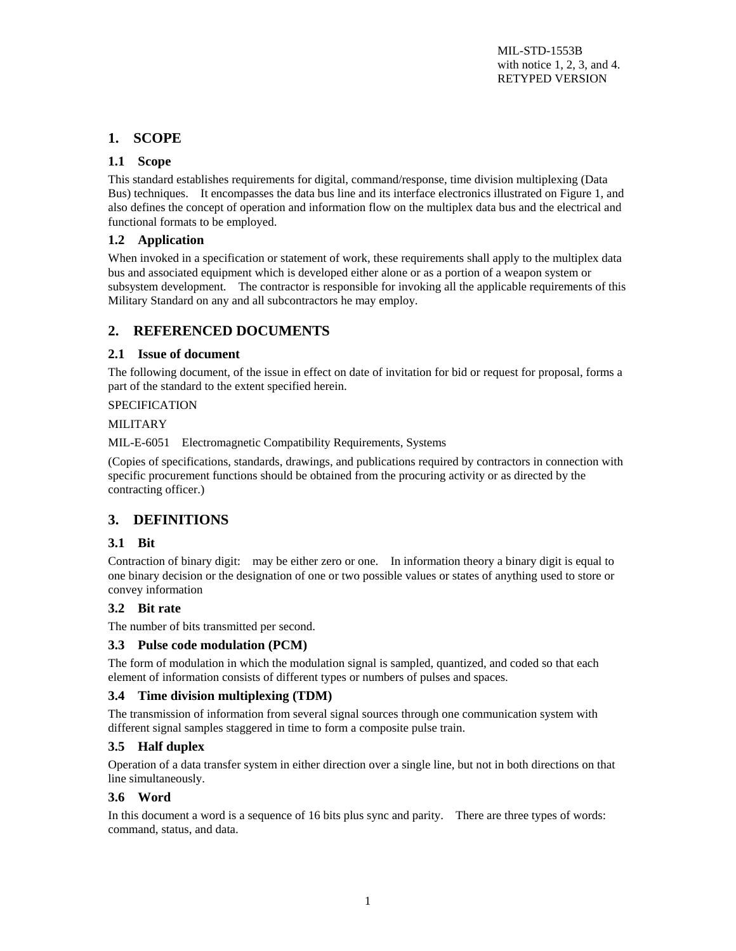# **1. SCOPE**

#### **1.1 Scope**

This standard establishes requirements for digital, command/response, time division multiplexing (Data Bus) techniques. It encompasses the data bus line and its interface electronics illustrated on Figure 1, and also defines the concept of operation and information flow on the multiplex data bus and the electrical and functional formats to be employed.

#### **1.2 Application**

When invoked in a specification or statement of work, these requirements shall apply to the multiplex data bus and associated equipment which is developed either alone or as a portion of a weapon system or subsystem development. The contractor is responsible for invoking all the applicable requirements of this Military Standard on any and all subcontractors he may employ.

# **2. REFERENCED DOCUMENTS**

#### **2.1 Issue of document**

The following document, of the issue in effect on date of invitation for bid or request for proposal, forms a part of the standard to the extent specified herein.

#### SPECIFICATION

#### MILITARY

MIL-E-6051 Electromagnetic Compatibility Requirements, Systems

(Copies of specifications, standards, drawings, and publications required by contractors in connection with specific procurement functions should be obtained from the procuring activity or as directed by the contracting officer.)

# **3. DEFINITIONS**

#### **3.1 Bit**

Contraction of binary digit: may be either zero or one. In information theory a binary digit is equal to one binary decision or the designation of one or two possible values or states of anything used to store or convey information

#### **3.2 Bit rate**

The number of bits transmitted per second.

#### **3.3 Pulse code modulation (PCM)**

The form of modulation in which the modulation signal is sampled, quantized, and coded so that each element of information consists of different types or numbers of pulses and spaces.

#### **3.4 Time division multiplexing (TDM)**

The transmission of information from several signal sources through one communication system with different signal samples staggered in time to form a composite pulse train.

#### **3.5 Half duplex**

Operation of a data transfer system in either direction over a single line, but not in both directions on that line simultaneously.

#### **3.6 Word**

In this document a word is a sequence of 16 bits plus sync and parity. There are three types of words: command, status, and data.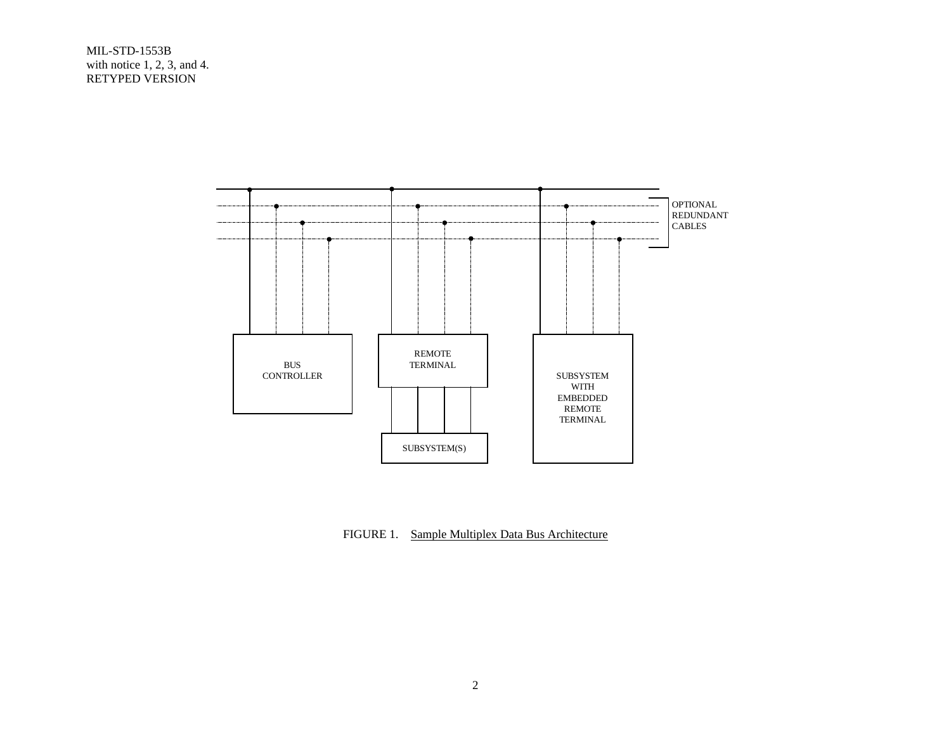

FIGURE 1. Sample Multiplex Data Bus Architecture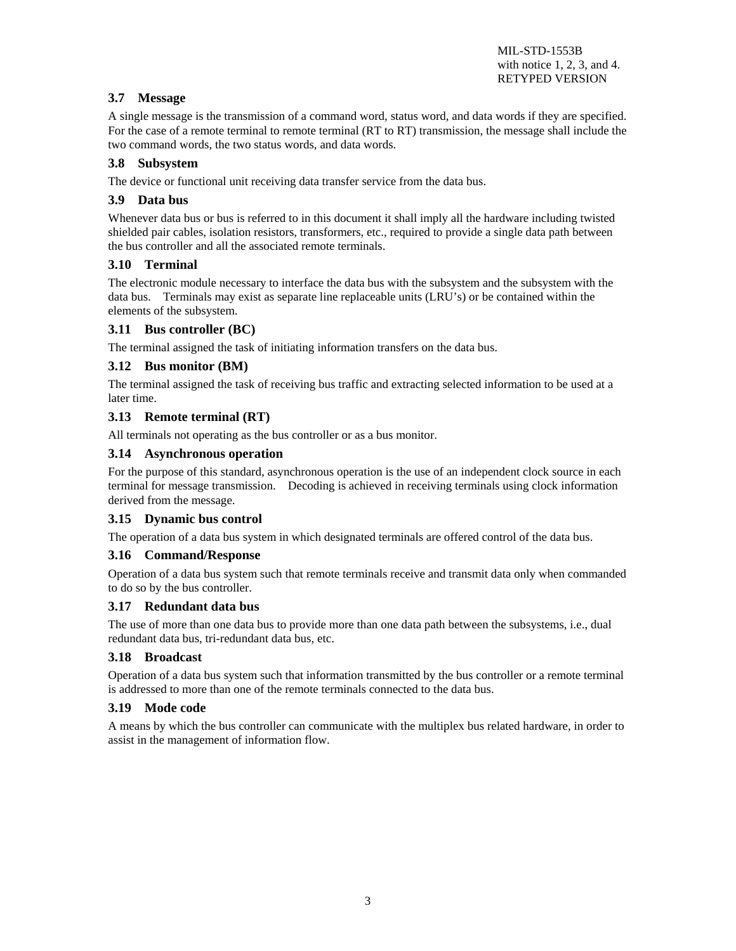#### **3.7 Message**

A single message is the transmission of a command word, status word, and data words if they are specified. For the case of a remote terminal to remote terminal (RT to RT) transmission, the message shall include the two command words, the two status words, and data words.

#### **3.8 Subsystem**

The device or functional unit receiving data transfer service from the data bus.

#### **3.9 Data bus**

Whenever data bus or bus is referred to in this document it shall imply all the hardware including twisted shielded pair cables, isolation resistors, transformers, etc., required to provide a single data path between the bus controller and all the associated remote terminals.

#### **3.10 Terminal**

The electronic module necessary to interface the data bus with the subsystem and the subsystem with the data bus. Terminals may exist as separate line replaceable units (LRU's) or be contained within the elements of the subsystem.

#### **3.11 Bus controller (BC)**

The terminal assigned the task of initiating information transfers on the data bus.

#### **3.12 Bus monitor (BM)**

The terminal assigned the task of receiving bus traffic and extracting selected information to be used at a later time.

#### **3.13 Remote terminal (RT)**

All terminals not operating as the bus controller or as a bus monitor.

#### **3.14 Asynchronous operation**

For the purpose of this standard, asynchronous operation is the use of an independent clock source in each terminal for message transmission. Decoding is achieved in receiving terminals using clock information derived from the message.

#### **3.15 Dynamic bus control**

The operation of a data bus system in which designated terminals are offered control of the data bus.

#### **3.16 Command/Response**

Operation of a data bus system such that remote terminals receive and transmit data only when commanded to do so by the bus controller.

#### **3.17 Redundant data bus**

The use of more than one data bus to provide more than one data path between the subsystems, i.e., dual redundant data bus, tri-redundant data bus, etc.

#### **3.18 Broadcast**

Operation of a data bus system such that information transmitted by the bus controller or a remote terminal is addressed to more than one of the remote terminals connected to the data bus.

#### **3.19 Mode code**

A means by which the bus controller can communicate with the multiplex bus related hardware, in order to assist in the management of information flow.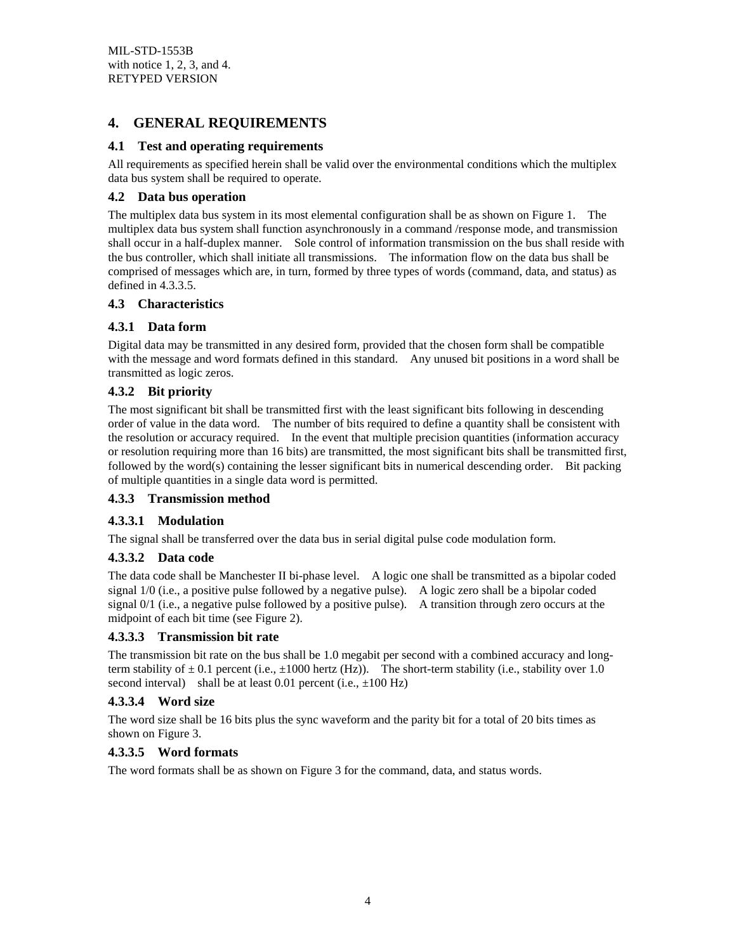# **4. GENERAL REQUIREMENTS**

#### **4.1 Test and operating requirements**

All requirements as specified herein shall be valid over the environmental conditions which the multiplex data bus system shall be required to operate.

#### **4.2 Data bus operation**

The multiplex data bus system in its most elemental configuration shall be as shown on Figure 1. The multiplex data bus system shall function asynchronously in a command /response mode, and transmission shall occur in a half-duplex manner. Sole control of information transmission on the bus shall reside with the bus controller, which shall initiate all transmissions. The information flow on the data bus shall be comprised of messages which are, in turn, formed by three types of words (command, data, and status) as defined in 4.3.3.5.

#### **4.3 Characteristics**

#### **4.3.1 Data form**

Digital data may be transmitted in any desired form, provided that the chosen form shall be compatible with the message and word formats defined in this standard. Any unused bit positions in a word shall be transmitted as logic zeros.

#### **4.3.2 Bit priority**

The most significant bit shall be transmitted first with the least significant bits following in descending order of value in the data word. The number of bits required to define a quantity shall be consistent with the resolution or accuracy required. In the event that multiple precision quantities (information accuracy or resolution requiring more than 16 bits) are transmitted, the most significant bits shall be transmitted first, followed by the word(s) containing the lesser significant bits in numerical descending order. Bit packing of multiple quantities in a single data word is permitted.

#### **4.3.3 Transmission method**

#### **4.3.3.1 Modulation**

The signal shall be transferred over the data bus in serial digital pulse code modulation form.

#### **4.3.3.2 Data code**

The data code shall be Manchester II bi-phase level. A logic one shall be transmitted as a bipolar coded signal 1/0 (i.e., a positive pulse followed by a negative pulse). A logic zero shall be a bipolar coded signal 0/1 (i.e., a negative pulse followed by a positive pulse). A transition through zero occurs at the midpoint of each bit time (see Figure 2).

#### **4.3.3.3 Transmission bit rate**

The transmission bit rate on the bus shall be 1.0 megabit per second with a combined accuracy and longterm stability of  $\pm 0.1$  percent (i.e.,  $\pm 1000$  hertz (Hz)). The short-term stability (i.e., stability over 1.0 second interval) shall be at least  $0.01$  percent (i.e.,  $\pm 100$  Hz)

#### **4.3.3.4 Word size**

The word size shall be 16 bits plus the sync waveform and the parity bit for a total of 20 bits times as shown on Figure 3.

#### **4.3.3.5 Word formats**

The word formats shall be as shown on Figure 3 for the command, data, and status words.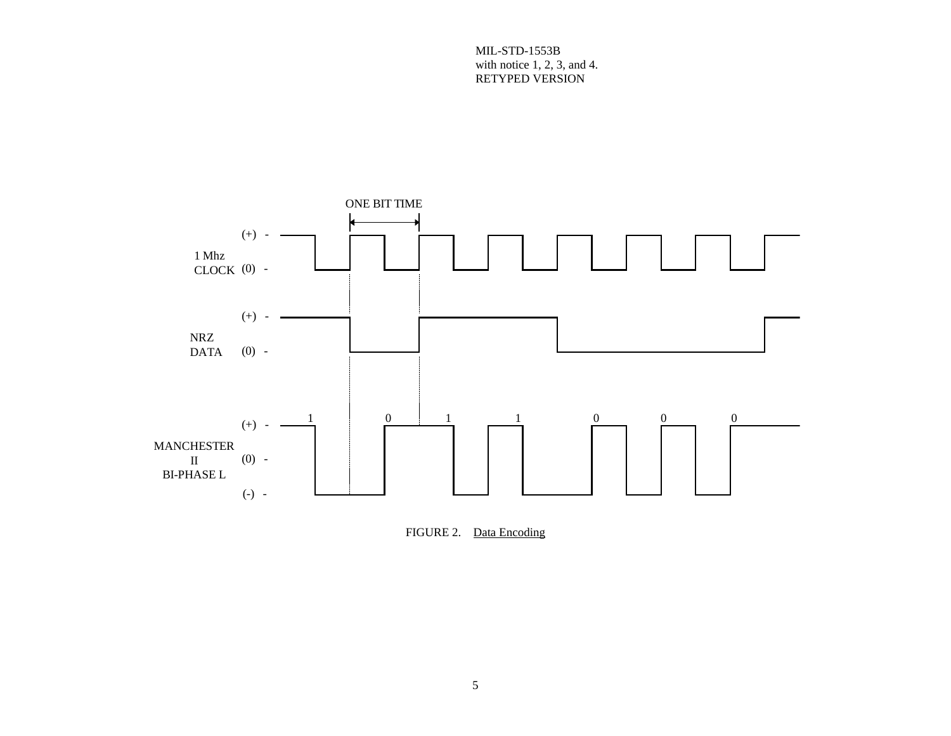

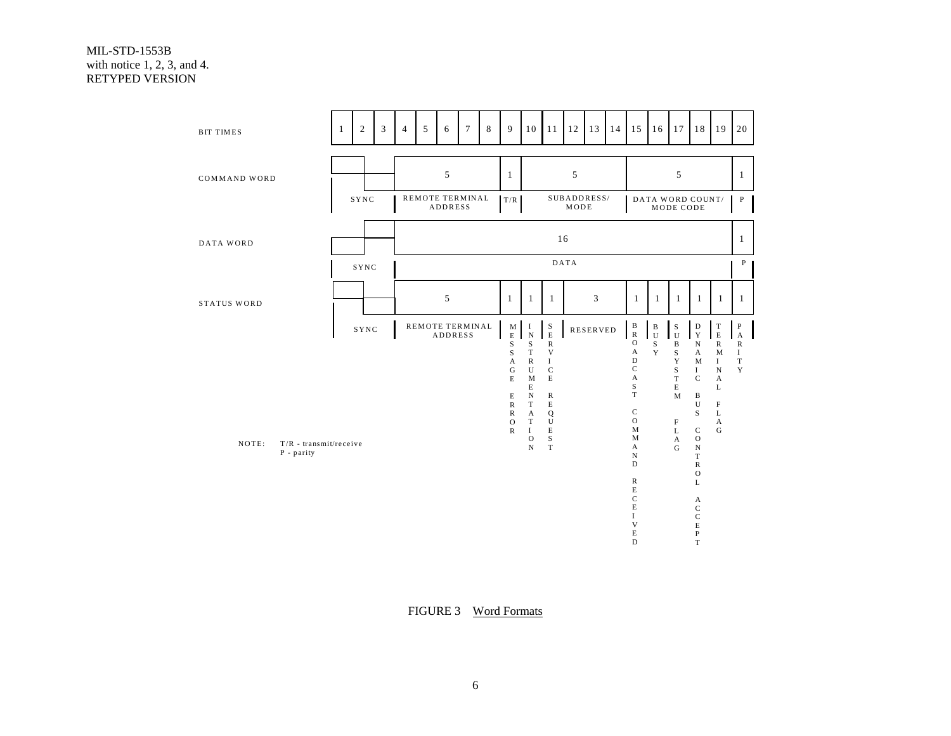| <b>BIT TIMES</b>                  | $\mathbf{1}$ | 2    | 3 | $\overline{4}$ | 5 | 6              | $\tau$          | 8 | 9                                   | 10                                                       | 11                                  | 12                  | 13              | 14 | 15                                                                      | 16                            | 17                                             | 18                                                   | 19                                                  | 20                                       |
|-----------------------------------|--------------|------|---|----------------|---|----------------|-----------------|---|-------------------------------------|----------------------------------------------------------|-------------------------------------|---------------------|-----------------|----|-------------------------------------------------------------------------|-------------------------------|------------------------------------------------|------------------------------------------------------|-----------------------------------------------------|------------------------------------------|
| COMMAND WORD                      |              |      |   |                |   | 5              |                 |   | $\mathbf{1}$                        |                                                          |                                     | 5                   |                 |    |                                                                         |                               | 5                                              |                                                      |                                                     | $\mathbf{1}$                             |
|                                   |              | SYNC |   |                |   | <b>ADDRESS</b> | REMOTE TERMINAL |   | T/R                                 |                                                          |                                     | SUBADDRESS/<br>MODE |                 |    |                                                                         | DATA WORD COUNT/              | MODE CODE                                      |                                                      |                                                     | $\mathbf{P}$                             |
| DATA WORD                         |              |      |   |                |   |                |                 |   |                                     |                                                          |                                     | 16                  |                 |    |                                                                         |                               |                                                |                                                      |                                                     | 1                                        |
|                                   |              | SYNC |   |                |   |                |                 |   |                                     |                                                          |                                     | DATA                |                 |    |                                                                         |                               |                                                |                                                      |                                                     | P                                        |
| STATUS WORD                       |              |      |   |                |   | 5              |                 |   | $\mathbf{1}$                        | $\mathbf{1}$                                             | $\mathbf{1}$                        |                     | 3               |    | $\mathbf{1}$                                                            | 1                             | $\mathbf{1}$                                   | $\mathbf{1}$                                         | $\mathbf{1}$                                        | $\mathbf{1}$                             |
|                                   |              | SYNC |   |                |   | <b>ADDRESS</b> | REMOTE TERMINAL |   | $\mathbf M$<br>$\mathbf E$<br>S     | $\;$ I<br>$\mathbf N$<br>S                               | $_{\rm E}^{\rm S}$<br>${\mathbb R}$ |                     | <b>RESERVED</b> |    | $\, {\bf B}$<br>$\mathbf R$<br>$\mathbf O$                              | $\, {\bf B}$<br>l u<br>$\,$ S | $\begin{bmatrix} S \\ U \end{bmatrix}$<br>B    | $\mathbf D$<br>$\mathbf Y$<br>N                      | $\frac{\text{T}}{\text{E}}$<br>${\bf R}$            | ${\bf P}$<br>$\mathbf{A}$<br>$\mathbb R$ |
|                                   |              |      |   |                |   |                |                 |   | S<br>A<br>G<br>$\mathbf E$          | $\mathbf T$<br>${\bf R}$<br>$\mathbf U$<br>$\mathbf{M}$  | V<br>$\rm I$<br>$\mathbf C$<br>E    |                     |                 |    | $\boldsymbol{A}$<br>$\mathbf D$<br>$\mathbf C$<br>$\boldsymbol{\rm{A}}$ | Y                             | $\mathbf S$<br>$\mathbf Y$<br>S<br>$\mathbf T$ | $\mathbf{A}$<br>M<br>$\bf{I}$<br>$\mathbf C$         | $\mathbf{M}$<br>$\;$ I<br>${\bf N}$<br>$\mathbf{A}$ | $\bf{I}$<br>$\mathbf T$<br>$\mathbf Y$   |
|                                   |              |      |   |                |   |                |                 |   | Е<br>${\mathbb R}$<br>${\mathbb R}$ | E<br>$\mathbf N$<br>$\mathbf T$<br>$\boldsymbol{\rm{A}}$ | ${\mathbb R}$<br>E<br>Q             |                     |                 |    | S<br>T<br>$\mathbf C$                                                   |                               | $\mathbf E$<br>M                               | $\, {\bf B}$<br>U<br>S                               | $\mathbf L$<br>F<br>$\mathbf L$                     |                                          |
| NOTE:<br>$T/R$ - transmit/receive |              |      |   |                |   |                |                 |   | $\mathbf O$<br>$\mathbb R$          | $\mathbf T$<br>$\bf{I}$<br>$\mathbf O$<br>$\mathbf N$    | U<br>E<br>$\rm S$                   |                     |                 |    | $\mathbf{O}$<br>M<br>М<br>A                                             |                               | F<br>L<br>$\boldsymbol{\rm{A}}$                | $\mathbf C$<br>$\mathbf O$                           | $\boldsymbol{\rm{A}}$<br>G                          |                                          |
| P - parity                        |              |      |   |                |   |                |                 |   |                                     |                                                          | $\mathbf T$                         |                     |                 |    | $_{\rm N}$<br>D                                                         |                               | G                                              | ${\bf N}$<br>$\mathbf T$<br>${\bf R}$<br>$\mathbf O$ |                                                     |                                          |
|                                   |              |      |   |                |   |                |                 |   |                                     |                                                          |                                     |                     |                 |    | $\mathbb R$<br>E<br>$\mathbf C$                                         |                               |                                                | L<br>$\boldsymbol{\rm{A}}$                           |                                                     |                                          |
|                                   |              |      |   |                |   |                |                 |   |                                     |                                                          |                                     |                     |                 |    | E<br>I<br>V                                                             |                               |                                                | $\mathbf C$<br>$\mathsf C$<br>$\mathbf E$            |                                                     |                                          |
|                                   |              |      |   |                |   |                |                 |   |                                     |                                                          |                                     |                     |                 |    | E<br>D                                                                  |                               |                                                | $\mathbf{P}$<br>T                                    |                                                     |                                          |

FIGURE 3 Word Formats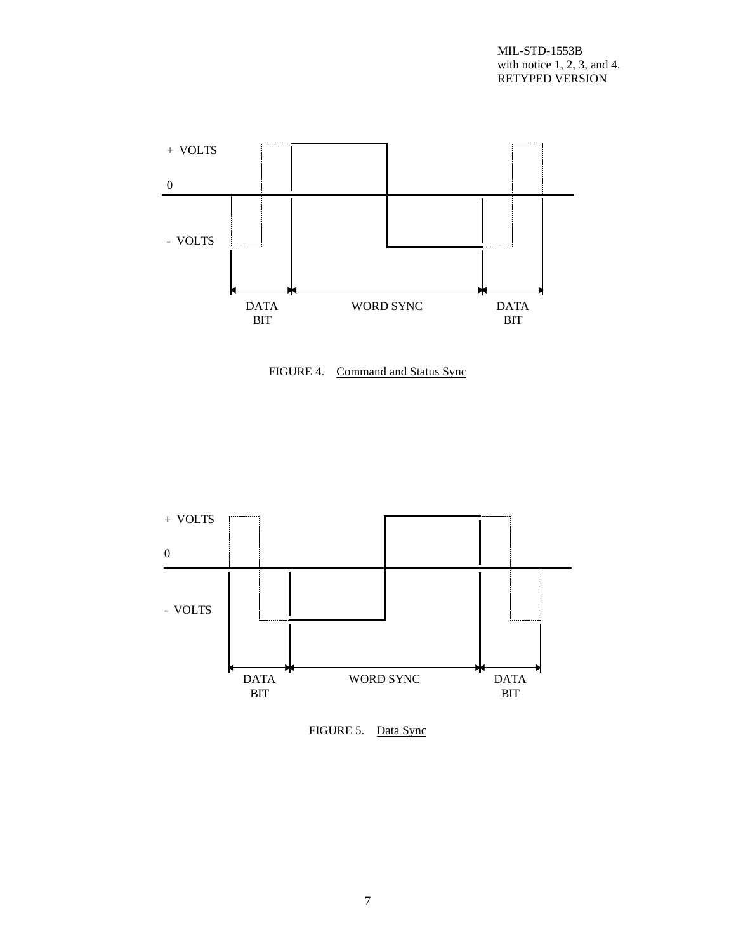

FIGURE 4. Command and Status Sync



FIGURE 5. Data Sync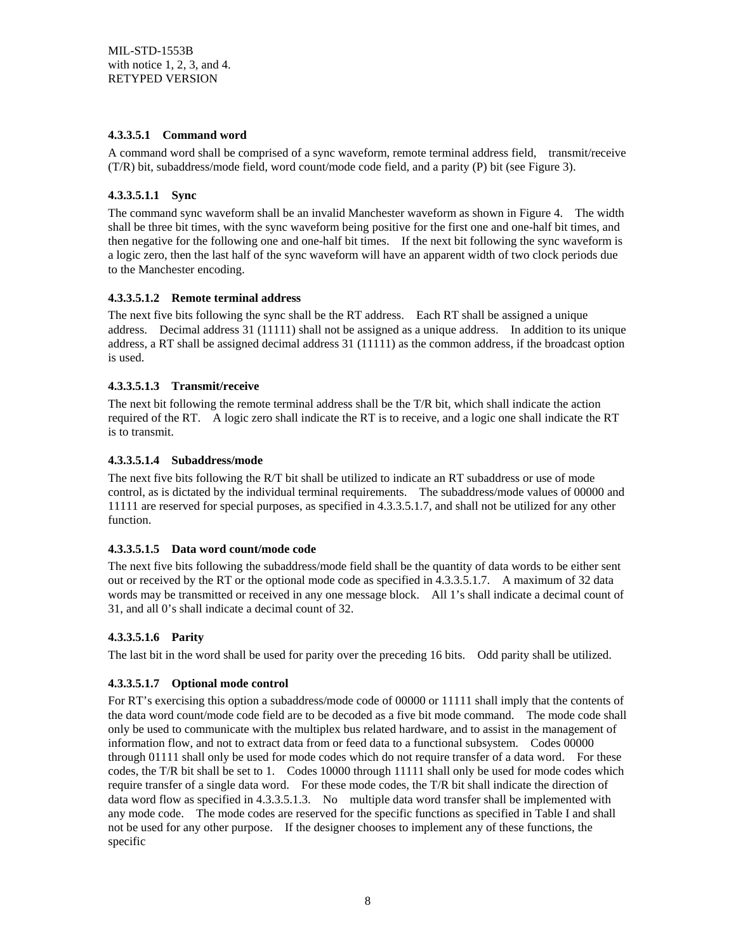#### **4.3.3.5.1 Command word**

A command word shall be comprised of a sync waveform, remote terminal address field, transmit/receive (T/R) bit, subaddress/mode field, word count/mode code field, and a parity (P) bit (see Figure 3).

#### **4.3.3.5.1.1 Sync**

The command sync waveform shall be an invalid Manchester waveform as shown in Figure 4. The width shall be three bit times, with the sync waveform being positive for the first one and one-half bit times, and then negative for the following one and one-half bit times. If the next bit following the sync waveform is a logic zero, then the last half of the sync waveform will have an apparent width of two clock periods due to the Manchester encoding.

#### **4.3.3.5.1.2 Remote terminal address**

The next five bits following the sync shall be the RT address. Each RT shall be assigned a unique address. Decimal address 31 (11111) shall not be assigned as a unique address. In addition to its unique address, a RT shall be assigned decimal address 31 (11111) as the common address, if the broadcast option is used.

#### **4.3.3.5.1.3 Transmit/receive**

The next bit following the remote terminal address shall be the T/R bit, which shall indicate the action required of the RT. A logic zero shall indicate the RT is to receive, and a logic one shall indicate the RT is to transmit.

#### **4.3.3.5.1.4 Subaddress/mode**

The next five bits following the R/T bit shall be utilized to indicate an RT subaddress or use of mode control, as is dictated by the individual terminal requirements. The subaddress/mode values of 00000 and 11111 are reserved for special purposes, as specified in 4.3.3.5.1.7, and shall not be utilized for any other function.

#### **4.3.3.5.1.5 Data word count/mode code**

The next five bits following the subaddress/mode field shall be the quantity of data words to be either sent out or received by the RT or the optional mode code as specified in 4.3.3.5.1.7. A maximum of 32 data words may be transmitted or received in any one message block. All 1's shall indicate a decimal count of 31, and all 0's shall indicate a decimal count of 32.

#### **4.3.3.5.1.6 Parity**

The last bit in the word shall be used for parity over the preceding 16 bits. Odd parity shall be utilized.

#### **4.3.3.5.1.7 Optional mode control**

For RT's exercising this option a subaddress/mode code of 00000 or 11111 shall imply that the contents of the data word count/mode code field are to be decoded as a five bit mode command. The mode code shall only be used to communicate with the multiplex bus related hardware, and to assist in the management of information flow, and not to extract data from or feed data to a functional subsystem. Codes 00000 through 01111 shall only be used for mode codes which do not require transfer of a data word. For these codes, the T/R bit shall be set to 1. Codes 10000 through 11111 shall only be used for mode codes which require transfer of a single data word. For these mode codes, the T/R bit shall indicate the direction of data word flow as specified in 4.3.3.5.1.3. No multiple data word transfer shall be implemented with any mode code. The mode codes are reserved for the specific functions as specified in Table I and shall not be used for any other purpose. If the designer chooses to implement any of these functions, the specific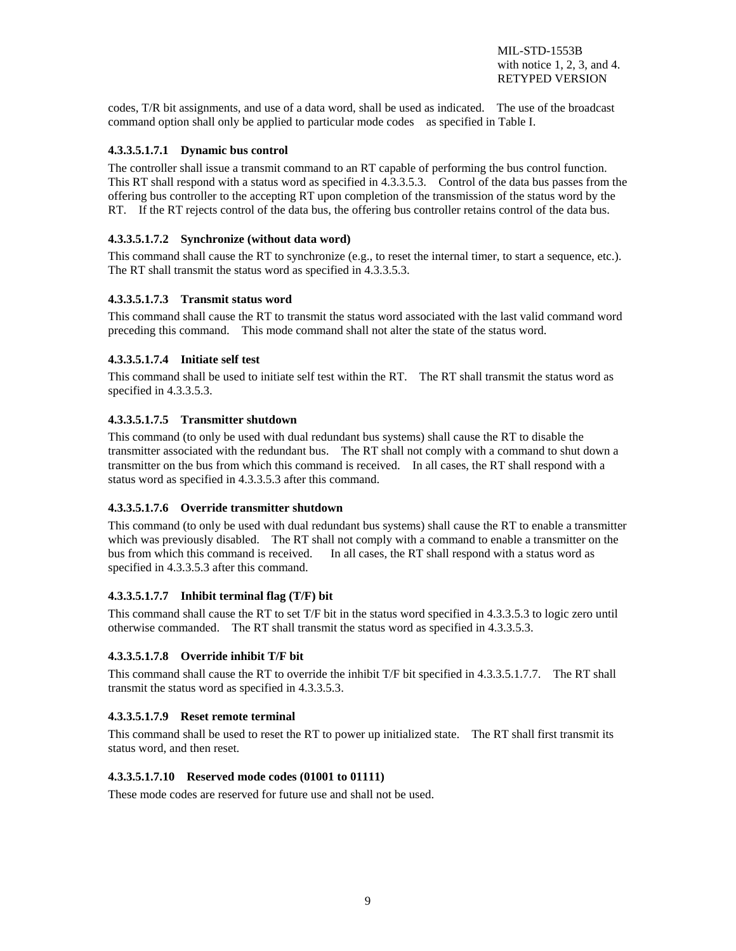codes, T/R bit assignments, and use of a data word, shall be used as indicated. The use of the broadcast command option shall only be applied to particular mode codes as specified in Table I.

#### **4.3.3.5.1.7.1 Dynamic bus control**

The controller shall issue a transmit command to an RT capable of performing the bus control function. This RT shall respond with a status word as specified in 4.3.3.5.3. Control of the data bus passes from the offering bus controller to the accepting RT upon completion of the transmission of the status word by the RT. If the RT rejects control of the data bus, the offering bus controller retains control of the data bus.

#### **4.3.3.5.1.7.2 Synchronize (without data word)**

This command shall cause the RT to synchronize (e.g., to reset the internal timer, to start a sequence, etc.). The RT shall transmit the status word as specified in 4.3.3.5.3.

#### **4.3.3.5.1.7.3 Transmit status word**

This command shall cause the RT to transmit the status word associated with the last valid command word preceding this command. This mode command shall not alter the state of the status word.

#### **4.3.3.5.1.7.4 Initiate self test**

This command shall be used to initiate self test within the RT. The RT shall transmit the status word as specified in 4.3.3.5.3.

#### **4.3.3.5.1.7.5 Transmitter shutdown**

This command (to only be used with dual redundant bus systems) shall cause the RT to disable the transmitter associated with the redundant bus. The RT shall not comply with a command to shut down a transmitter on the bus from which this command is received. In all cases, the RT shall respond with a status word as specified in 4.3.3.5.3 after this command.

#### **4.3.3.5.1.7.6 Override transmitter shutdown**

This command (to only be used with dual redundant bus systems) shall cause the RT to enable a transmitter which was previously disabled. The RT shall not comply with a command to enable a transmitter on the bus from which this command is received. In all cases, the RT shall respond with a status word as specified in 4.3.3.5.3 after this command.

#### **4.3.3.5.1.7.7 Inhibit terminal flag (T/F) bit**

This command shall cause the RT to set T/F bit in the status word specified in 4.3.3.5.3 to logic zero until otherwise commanded. The RT shall transmit the status word as specified in 4.3.3.5.3.

#### **4.3.3.5.1.7.8 Override inhibit T/F bit**

This command shall cause the RT to override the inhibit T/F bit specified in 4.3.3.5.1.7.7. The RT shall transmit the status word as specified in 4.3.3.5.3.

#### **4.3.3.5.1.7.9 Reset remote terminal**

This command shall be used to reset the RT to power up initialized state. The RT shall first transmit its status word, and then reset.

#### **4.3.3.5.1.7.10 Reserved mode codes (01001 to 01111)**

These mode codes are reserved for future use and shall not be used.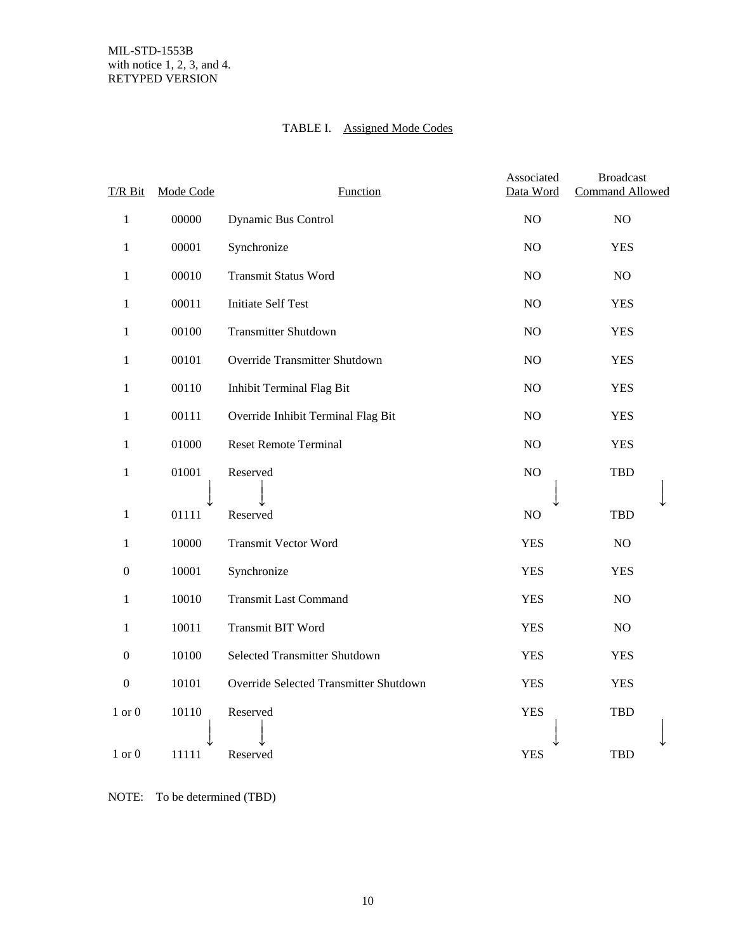# TABLE I. Assigned Mode Codes

| T/R Bit          | Mode Code | Function                               | Associated<br>Data Word | <b>Broadcast</b><br><b>Command Allowed</b> |
|------------------|-----------|----------------------------------------|-------------------------|--------------------------------------------|
| $\,1$            | 00000     | Dynamic Bus Control                    | NO                      | NO                                         |
| $\mathbf{1}$     | 00001     | Synchronize                            | NO                      | <b>YES</b>                                 |
| 1                | 00010     | <b>Transmit Status Word</b>            | NO                      | NO                                         |
| 1                | 00011     | <b>Initiate Self Test</b>              | N <sub>O</sub>          | <b>YES</b>                                 |
| $\mathbf{1}$     | 00100     | <b>Transmitter Shutdown</b>            | NO                      | <b>YES</b>                                 |
| $\mathbf{1}$     | 00101     | Override Transmitter Shutdown          | NO                      | <b>YES</b>                                 |
| 1                | 00110     | Inhibit Terminal Flag Bit              | NO                      | <b>YES</b>                                 |
| 1                | 00111     | Override Inhibit Terminal Flag Bit     | NO.                     | <b>YES</b>                                 |
| $\mathbf{1}$     | 01000     | <b>Reset Remote Terminal</b>           | NO                      | <b>YES</b>                                 |
| $\mathbf{1}$     | 01001     | Reserved                               | NO                      | <b>TBD</b>                                 |
| 1                | 01111     | Reserved                               | NO                      | <b>TBD</b>                                 |
| 1                | 10000     | <b>Transmit Vector Word</b>            | <b>YES</b>              | NO                                         |
| $\mathbf{0}$     | 10001     | Synchronize                            | <b>YES</b>              | <b>YES</b>                                 |
| 1                | 10010     | <b>Transmit Last Command</b>           | <b>YES</b>              | NO                                         |
| 1                | 10011     | Transmit BIT Word                      | <b>YES</b>              | NO                                         |
| $\boldsymbol{0}$ | 10100     | Selected Transmitter Shutdown          | <b>YES</b>              | <b>YES</b>                                 |
| $\boldsymbol{0}$ | 10101     | Override Selected Transmitter Shutdown | <b>YES</b>              | <b>YES</b>                                 |
| $1$ or $0$       | 10110     | Reserved                               | <b>YES</b>              | <b>TBD</b>                                 |
| $1$ or $0$       | 11111     | Reserved                               | <b>YES</b>              | <b>TBD</b>                                 |

NOTE: To be determined (TBD)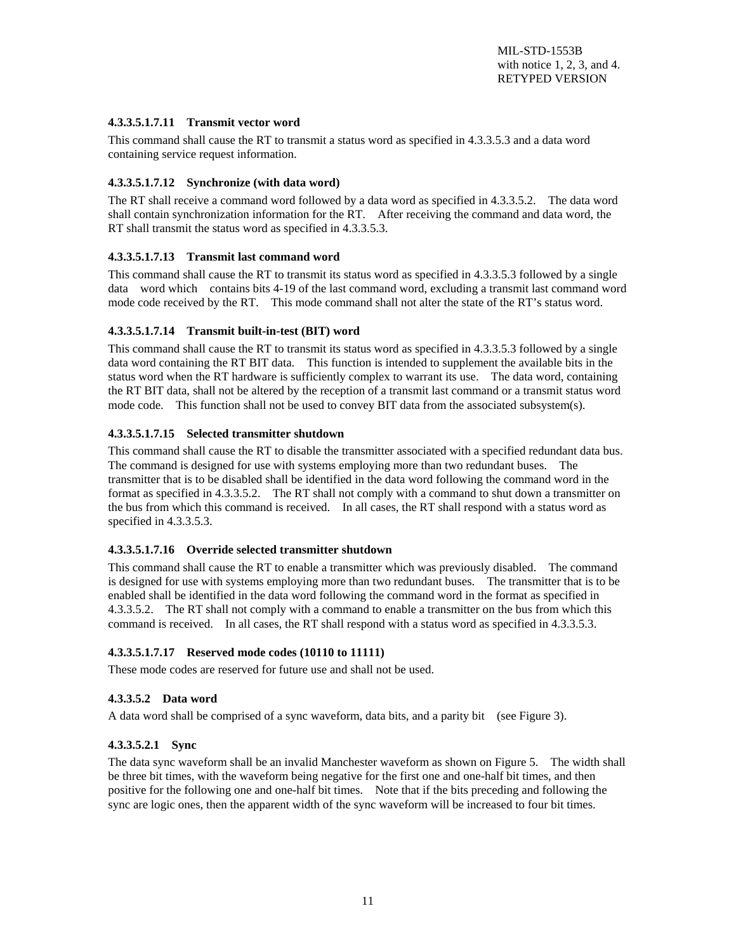#### **4.3.3.5.1.7.11 Transmit vector word**

This command shall cause the RT to transmit a status word as specified in 4.3.3.5.3 and a data word containing service request information.

#### **4.3.3.5.1.7.12 Synchronize (with data word)**

The RT shall receive a command word followed by a data word as specified in 4.3.3.5.2. The data word shall contain synchronization information for the RT. After receiving the command and data word, the RT shall transmit the status word as specified in 4.3.3.5.3.

#### **4.3.3.5.1.7.13 Transmit last command word**

This command shall cause the RT to transmit its status word as specified in 4.3.3.5.3 followed by a single data word which contains bits 4-19 of the last command word, excluding a transmit last command word mode code received by the RT. This mode command shall not alter the state of the RT's status word.

#### **4.3.3.5.1.7.14 Transmit built-in-test (BIT) word**

This command shall cause the RT to transmit its status word as specified in 4.3.3.5.3 followed by a single data word containing the RT BIT data. This function is intended to supplement the available bits in the status word when the RT hardware is sufficiently complex to warrant its use. The data word, containing the RT BIT data, shall not be altered by the reception of a transmit last command or a transmit status word mode code. This function shall not be used to convey BIT data from the associated subsystem(s).

#### **4.3.3.5.1.7.15 Selected transmitter shutdown**

This command shall cause the RT to disable the transmitter associated with a specified redundant data bus. The command is designed for use with systems employing more than two redundant buses. The transmitter that is to be disabled shall be identified in the data word following the command word in the format as specified in 4.3.3.5.2. The RT shall not comply with a command to shut down a transmitter on the bus from which this command is received. In all cases, the RT shall respond with a status word as specified in 4.3.3.5.3.

#### **4.3.3.5.1.7.16 Override selected transmitter shutdown**

This command shall cause the RT to enable a transmitter which was previously disabled. The command is designed for use with systems employing more than two redundant buses. The transmitter that is to be enabled shall be identified in the data word following the command word in the format as specified in 4.3.3.5.2. The RT shall not comply with a command to enable a transmitter on the bus from which this command is received. In all cases, the RT shall respond with a status word as specified in 4.3.3.5.3.

#### **4.3.3.5.1.7.17 Reserved mode codes (10110 to 11111)**

These mode codes are reserved for future use and shall not be used.

#### **4.3.3.5.2 Data word**

A data word shall be comprised of a sync waveform, data bits, and a parity bit (see Figure 3).

#### **4.3.3.5.2.1 Sync**

The data sync waveform shall be an invalid Manchester waveform as shown on Figure 5. The width shall be three bit times, with the waveform being negative for the first one and one-half bit times, and then positive for the following one and one-half bit times. Note that if the bits preceding and following the sync are logic ones, then the apparent width of the sync waveform will be increased to four bit times.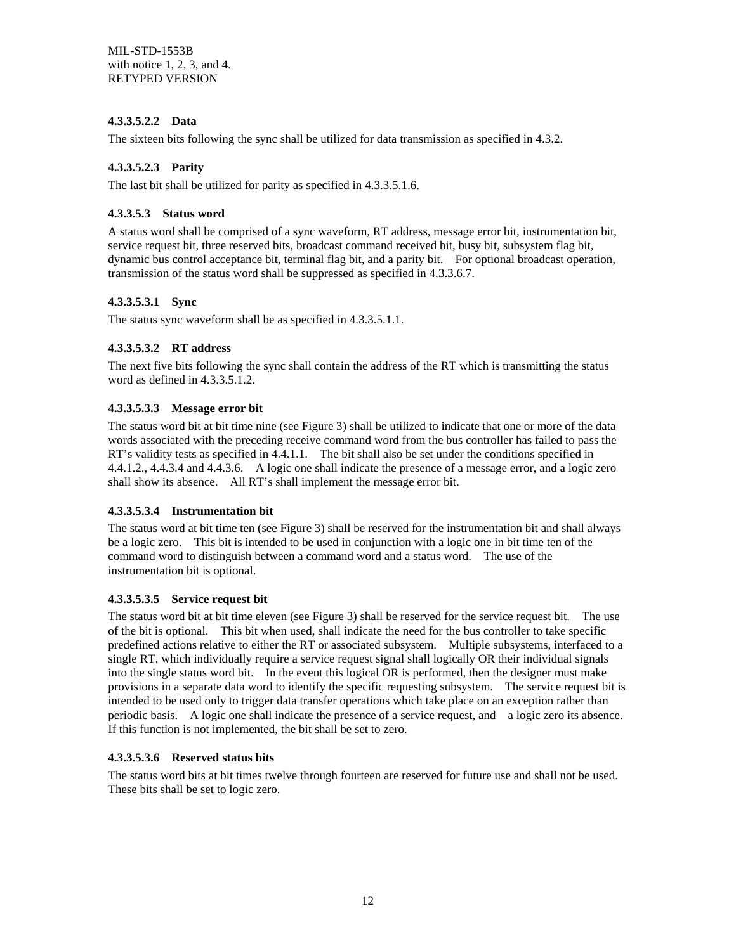#### **4.3.3.5.2.2 Data**

The sixteen bits following the sync shall be utilized for data transmission as specified in 4.3.2.

#### **4.3.3.5.2.3 Parity**

The last bit shall be utilized for parity as specified in 4.3.3.5.1.6.

#### **4.3.3.5.3 Status word**

A status word shall be comprised of a sync waveform, RT address, message error bit, instrumentation bit, service request bit, three reserved bits, broadcast command received bit, busy bit, subsystem flag bit, dynamic bus control acceptance bit, terminal flag bit, and a parity bit. For optional broadcast operation, transmission of the status word shall be suppressed as specified in 4.3.3.6.7.

#### **4.3.3.5.3.1 Sync**

The status sync waveform shall be as specified in 4.3.3.5.1.1.

#### **4.3.3.5.3.2 RT address**

The next five bits following the sync shall contain the address of the RT which is transmitting the status word as defined in 4.3.3.5.1.2.

#### **4.3.3.5.3.3 Message error bit**

The status word bit at bit time nine (see Figure 3) shall be utilized to indicate that one or more of the data words associated with the preceding receive command word from the bus controller has failed to pass the RT's validity tests as specified in 4.4.1.1. The bit shall also be set under the conditions specified in 4.4.1.2., 4.4.3.4 and 4.4.3.6. A logic one shall indicate the presence of a message error, and a logic zero shall show its absence. All RT's shall implement the message error bit.

#### **4.3.3.5.3.4 Instrumentation bit**

The status word at bit time ten (see Figure 3) shall be reserved for the instrumentation bit and shall always be a logic zero. This bit is intended to be used in conjunction with a logic one in bit time ten of the command word to distinguish between a command word and a status word. The use of the instrumentation bit is optional.

#### **4.3.3.5.3.5 Service request bit**

The status word bit at bit time eleven (see Figure 3) shall be reserved for the service request bit. The use of the bit is optional. This bit when used, shall indicate the need for the bus controller to take specific predefined actions relative to either the RT or associated subsystem. Multiple subsystems, interfaced to a single RT, which individually require a service request signal shall logically OR their individual signals into the single status word bit. In the event this logical OR is performed, then the designer must make provisions in a separate data word to identify the specific requesting subsystem. The service request bit is intended to be used only to trigger data transfer operations which take place on an exception rather than periodic basis. A logic one shall indicate the presence of a service request, and a logic zero its absence. If this function is not implemented, the bit shall be set to zero.

#### **4.3.3.5.3.6 Reserved status bits**

The status word bits at bit times twelve through fourteen are reserved for future use and shall not be used. These bits shall be set to logic zero.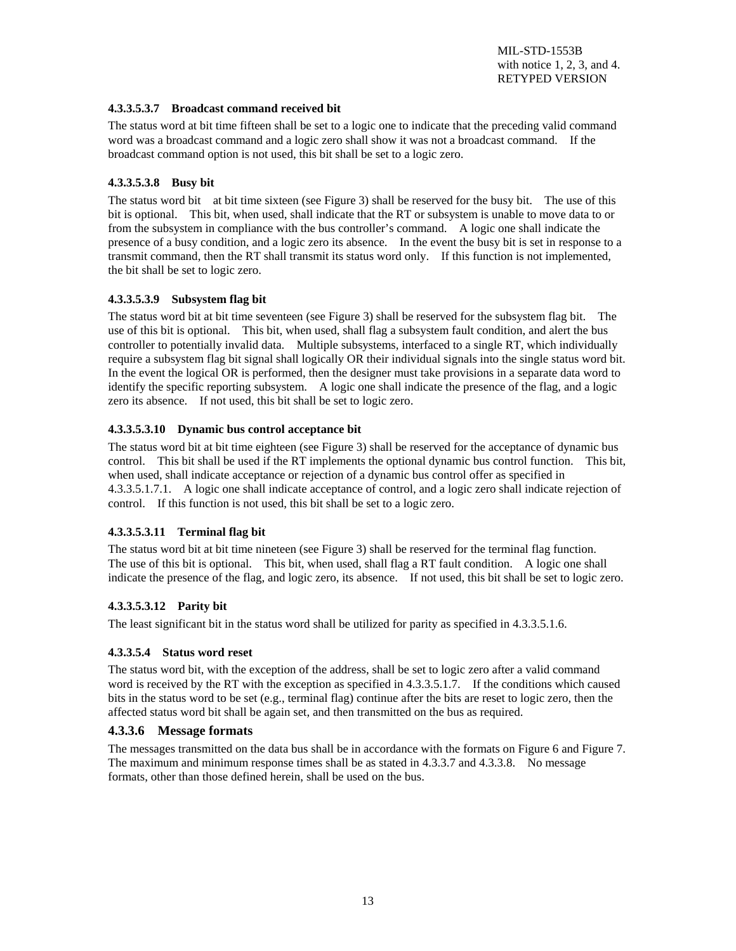#### **4.3.3.5.3.7 Broadcast command received bit**

The status word at bit time fifteen shall be set to a logic one to indicate that the preceding valid command word was a broadcast command and a logic zero shall show it was not a broadcast command. If the broadcast command option is not used, this bit shall be set to a logic zero.

#### **4.3.3.5.3.8 Busy bit**

The status word bit at bit time sixteen (see Figure 3) shall be reserved for the busy bit. The use of this bit is optional. This bit, when used, shall indicate that the RT or subsystem is unable to move data to or from the subsystem in compliance with the bus controller's command. A logic one shall indicate the presence of a busy condition, and a logic zero its absence. In the event the busy bit is set in response to a transmit command, then the RT shall transmit its status word only. If this function is not implemented, the bit shall be set to logic zero.

#### **4.3.3.5.3.9 Subsystem flag bit**

The status word bit at bit time seventeen (see Figure 3) shall be reserved for the subsystem flag bit. The use of this bit is optional. This bit, when used, shall flag a subsystem fault condition, and alert the bus controller to potentially invalid data. Multiple subsystems, interfaced to a single RT, which individually require a subsystem flag bit signal shall logically OR their individual signals into the single status word bit. In the event the logical OR is performed, then the designer must take provisions in a separate data word to identify the specific reporting subsystem. A logic one shall indicate the presence of the flag, and a logic zero its absence. If not used, this bit shall be set to logic zero.

#### **4.3.3.5.3.10 Dynamic bus control acceptance bit**

The status word bit at bit time eighteen (see Figure 3) shall be reserved for the acceptance of dynamic bus control. This bit shall be used if the RT implements the optional dynamic bus control function. This bit, when used, shall indicate acceptance or rejection of a dynamic bus control offer as specified in 4.3.3.5.1.7.1. A logic one shall indicate acceptance of control, and a logic zero shall indicate rejection of control. If this function is not used, this bit shall be set to a logic zero.

#### **4.3.3.5.3.11 Terminal flag bit**

The status word bit at bit time nineteen (see Figure 3) shall be reserved for the terminal flag function. The use of this bit is optional. This bit, when used, shall flag a RT fault condition. A logic one shall indicate the presence of the flag, and logic zero, its absence. If not used, this bit shall be set to logic zero.

#### **4.3.3.5.3.12 Parity bit**

The least significant bit in the status word shall be utilized for parity as specified in 4.3.3.5.1.6.

#### **4.3.3.5.4 Status word reset**

The status word bit, with the exception of the address, shall be set to logic zero after a valid command word is received by the RT with the exception as specified in 4.3.3.5.1.7. If the conditions which caused bits in the status word to be set (e.g., terminal flag) continue after the bits are reset to logic zero, then the affected status word bit shall be again set, and then transmitted on the bus as required.

#### **4.3.3.6 Message formats**

The messages transmitted on the data bus shall be in accordance with the formats on Figure 6 and Figure 7. The maximum and minimum response times shall be as stated in 4.3.3.7 and 4.3.3.8. No message formats, other than those defined herein, shall be used on the bus.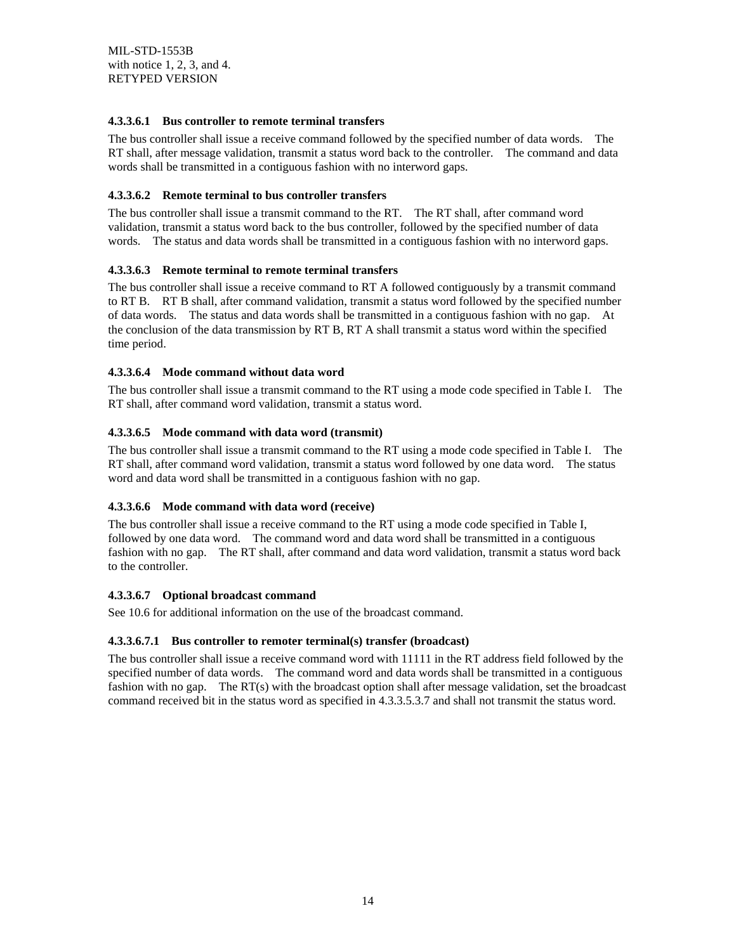#### **4.3.3.6.1 Bus controller to remote terminal transfers**

The bus controller shall issue a receive command followed by the specified number of data words. The RT shall, after message validation, transmit a status word back to the controller. The command and data words shall be transmitted in a contiguous fashion with no interword gaps.

#### **4.3.3.6.2 Remote terminal to bus controller transfers**

The bus controller shall issue a transmit command to the RT. The RT shall, after command word validation, transmit a status word back to the bus controller, followed by the specified number of data words. The status and data words shall be transmitted in a contiguous fashion with no interword gaps.

#### **4.3.3.6.3 Remote terminal to remote terminal transfers**

The bus controller shall issue a receive command to RT A followed contiguously by a transmit command to RT B. RT B shall, after command validation, transmit a status word followed by the specified number of data words. The status and data words shall be transmitted in a contiguous fashion with no gap. At the conclusion of the data transmission by RT B, RT A shall transmit a status word within the specified time period.

#### **4.3.3.6.4 Mode command without data word**

The bus controller shall issue a transmit command to the RT using a mode code specified in Table I. The RT shall, after command word validation, transmit a status word.

#### **4.3.3.6.5 Mode command with data word (transmit)**

The bus controller shall issue a transmit command to the RT using a mode code specified in Table I. The RT shall, after command word validation, transmit a status word followed by one data word. The status word and data word shall be transmitted in a contiguous fashion with no gap.

#### **4.3.3.6.6 Mode command with data word (receive)**

The bus controller shall issue a receive command to the RT using a mode code specified in Table I, followed by one data word. The command word and data word shall be transmitted in a contiguous fashion with no gap. The RT shall, after command and data word validation, transmit a status word back to the controller.

#### **4.3.3.6.7 Optional broadcast command**

See 10.6 for additional information on the use of the broadcast command.

#### **4.3.3.6.7.1 Bus controller to remoter terminal(s) transfer (broadcast)**

The bus controller shall issue a receive command word with 11111 in the RT address field followed by the specified number of data words. The command word and data words shall be transmitted in a contiguous fashion with no gap. The RT(s) with the broadcast option shall after message validation, set the broadcast command received bit in the status word as specified in 4.3.3.5.3.7 and shall not transmit the status word.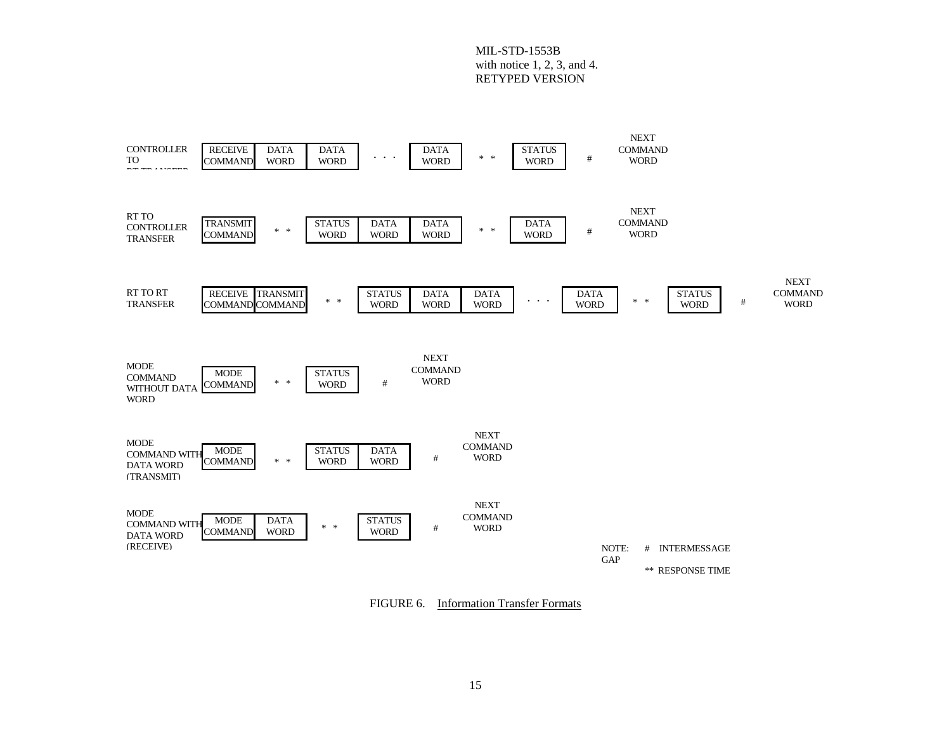

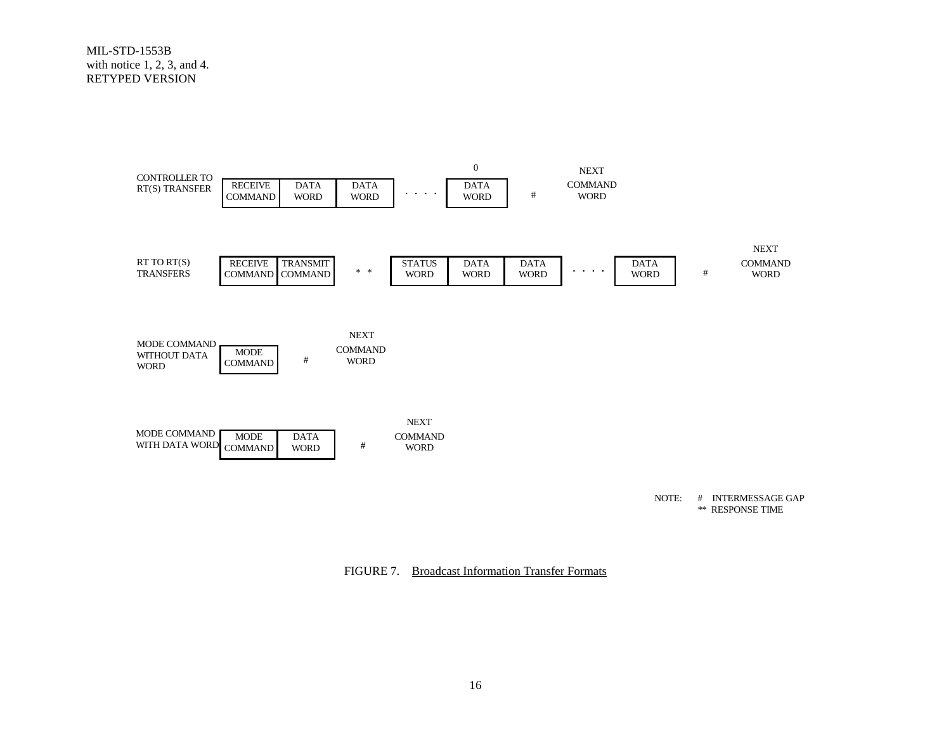

NOTE: # INTERMESSAGE GAP \*\* RESPONSE TIME

FIGURE 7. Broadcast Information Transfer Formats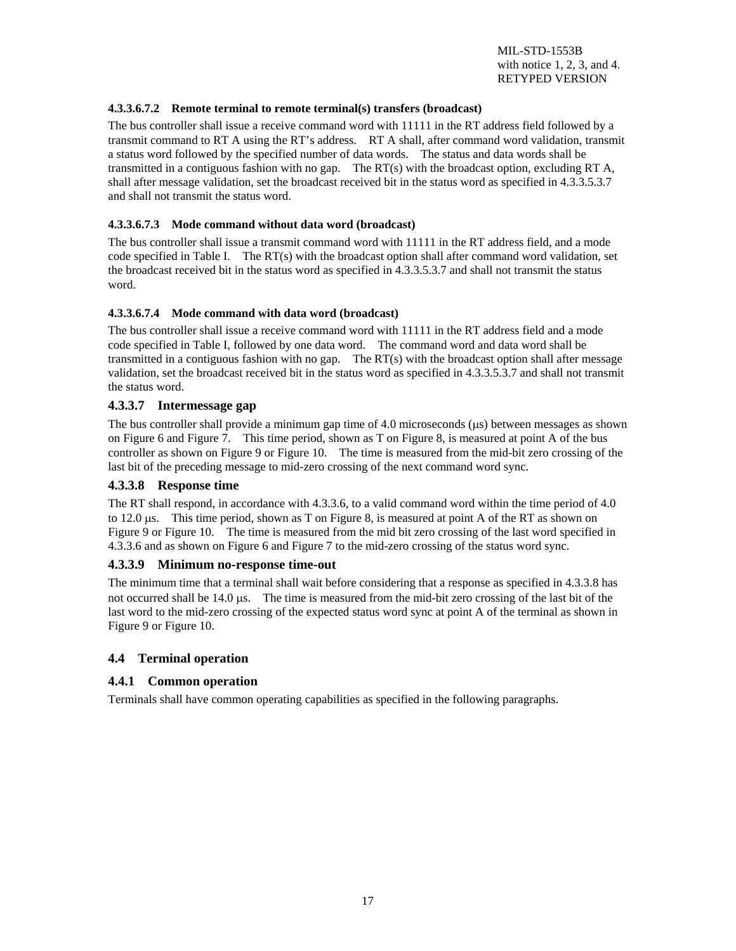#### **4.3.3.6.7.2 Remote terminal to remote terminal(s) transfers (broadcast)**

The bus controller shall issue a receive command word with 11111 in the RT address field followed by a transmit command to RT A using the RT's address. RT A shall, after command word validation, transmit a status word followed by the specified number of data words. The status and data words shall be transmitted in a contiguous fashion with no gap. The RT(s) with the broadcast option, excluding RT A, shall after message validation, set the broadcast received bit in the status word as specified in 4.3.3.5.3.7 and shall not transmit the status word.

#### **4.3.3.6.7.3 Mode command without data word (broadcast)**

The bus controller shall issue a transmit command word with 11111 in the RT address field, and a mode code specified in Table I. The RT(s) with the broadcast option shall after command word validation, set the broadcast received bit in the status word as specified in 4.3.3.5.3.7 and shall not transmit the status word.

#### **4.3.3.6.7.4 Mode command with data word (broadcast)**

The bus controller shall issue a receive command word with 11111 in the RT address field and a mode code specified in Table I, followed by one data word. The command word and data word shall be transmitted in a contiguous fashion with no gap. The RT(s) with the broadcast option shall after message validation, set the broadcast received bit in the status word as specified in 4.3.3.5.3.7 and shall not transmit the status word.

#### **4.3.3.7 Intermessage gap**

The bus controller shall provide a minimum gap time of 4.0 microseconds (µs) between messages as shown on Figure 6 and Figure 7. This time period, shown as T on Figure 8, is measured at point A of the bus controller as shown on Figure 9 or Figure 10. The time is measured from the mid-bit zero crossing of the last bit of the preceding message to mid-zero crossing of the next command word sync.

#### **4.3.3.8 Response time**

The RT shall respond, in accordance with 4.3.3.6, to a valid command word within the time period of 4.0 to  $12.0 \,\mu s$ . This time period, shown as T on Figure 8, is measured at point A of the RT as shown on Figure 9 or Figure 10. The time is measured from the mid bit zero crossing of the last word specified in 4.3.3.6 and as shown on Figure 6 and Figure 7 to the mid-zero crossing of the status word sync.

#### **4.3.3.9 Minimum no-response time-out**

The minimum time that a terminal shall wait before considering that a response as specified in 4.3.3.8 has not occurred shall be 14.0 µs. The time is measured from the mid-bit zero crossing of the last bit of the last word to the mid-zero crossing of the expected status word sync at point A of the terminal as shown in Figure 9 or Figure 10.

#### **4.4 Terminal operation**

#### **4.4.1 Common operation**

Terminals shall have common operating capabilities as specified in the following paragraphs.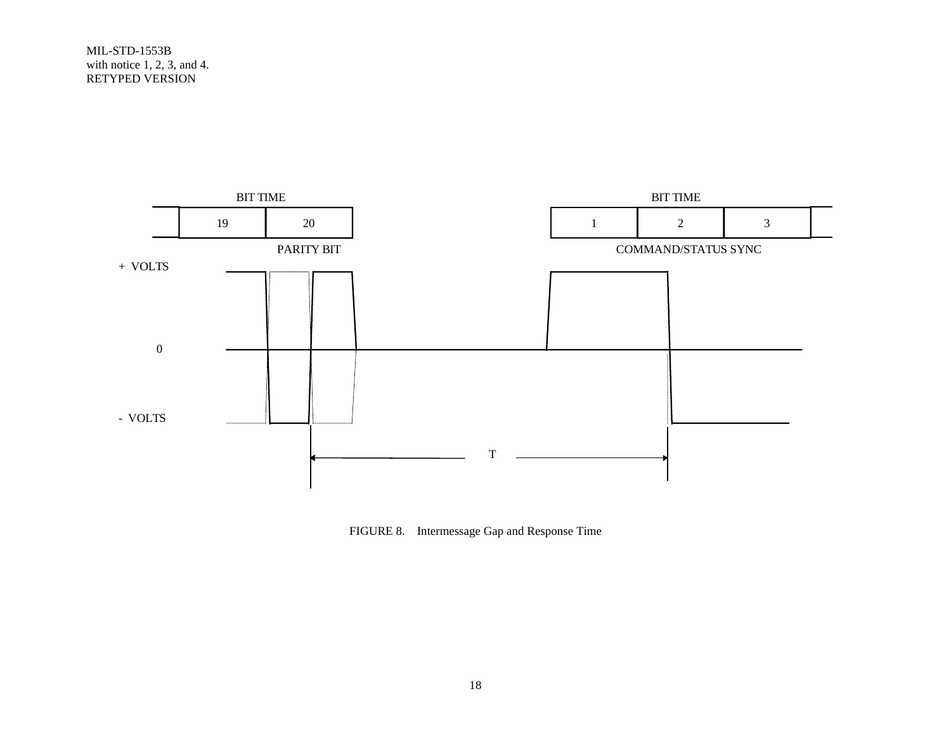

FIGURE 8. Intermessage Gap and Response Time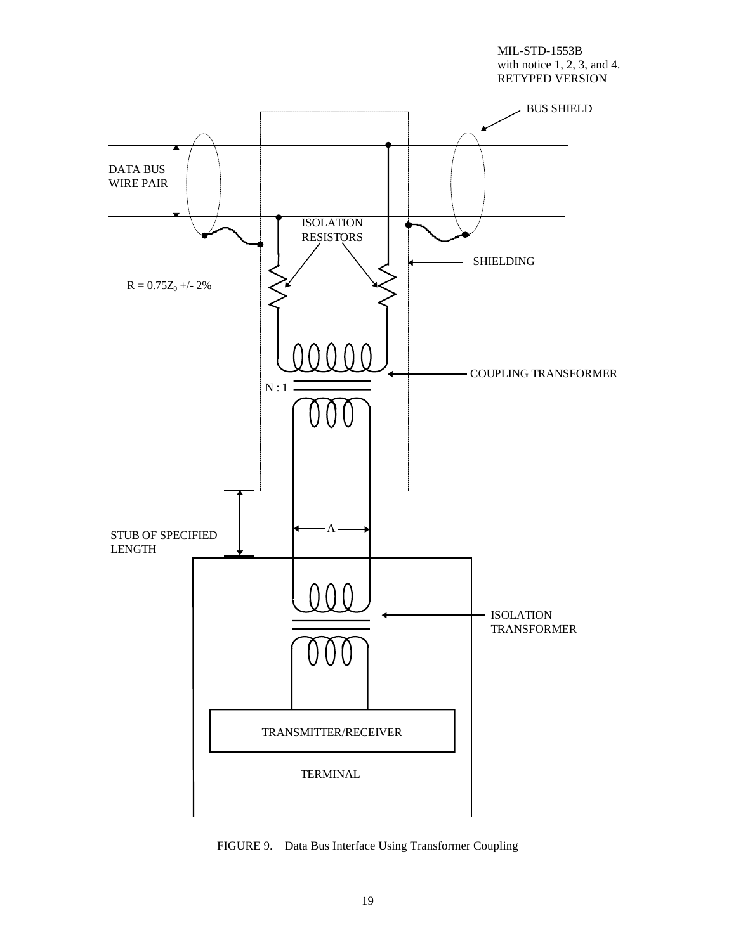

FIGURE 9. Data Bus Interface Using Transformer Coupling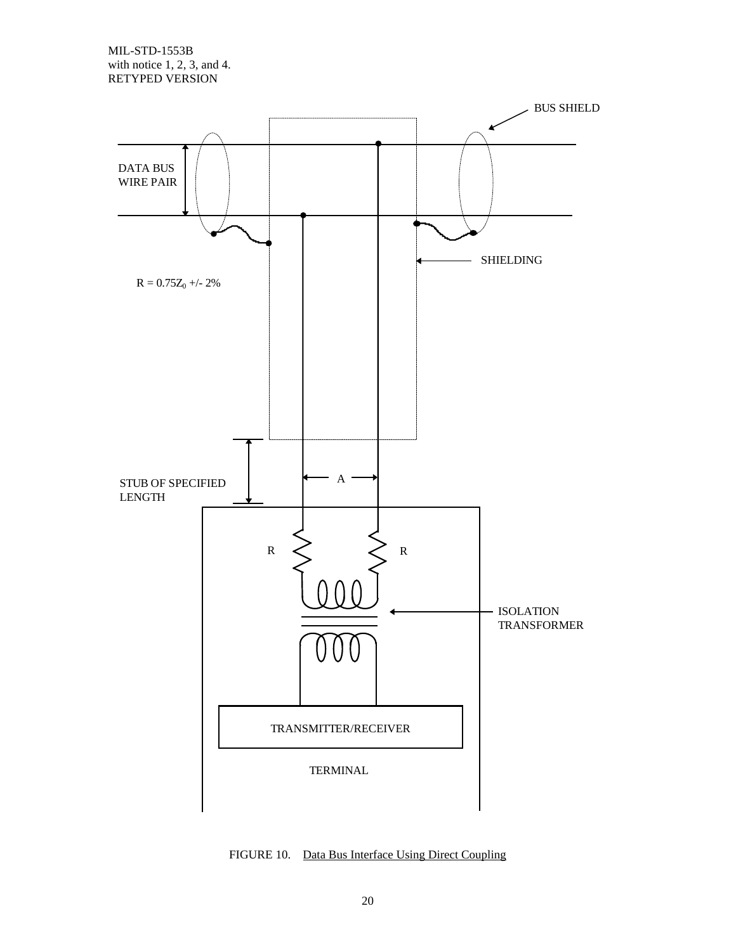

FIGURE 10. Data Bus Interface Using Direct Coupling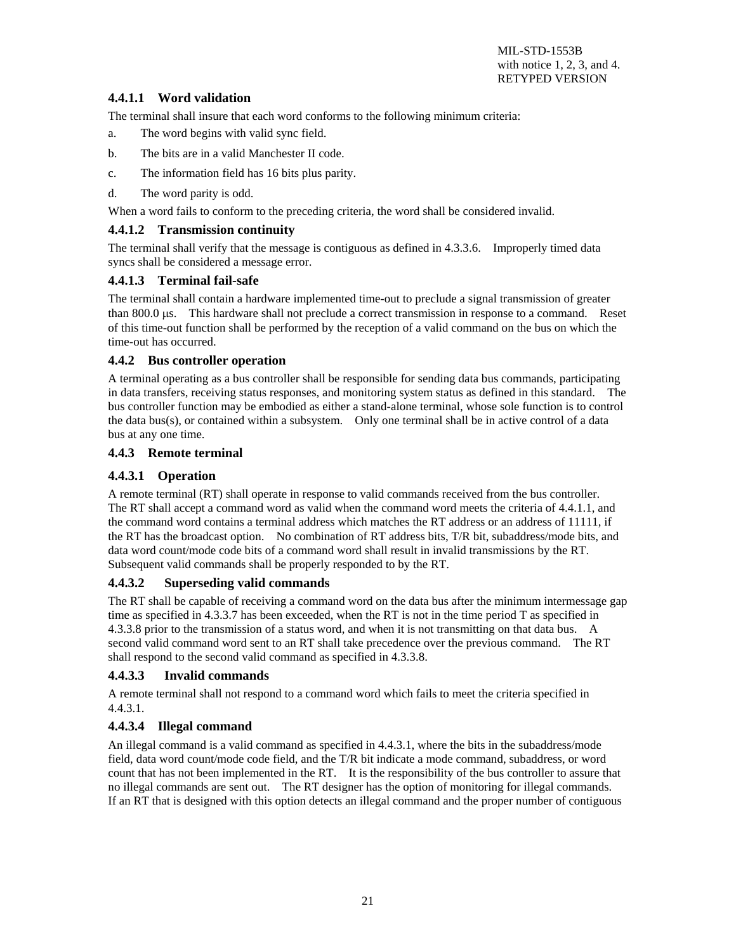# **4.4.1.1 Word validation**

The terminal shall insure that each word conforms to the following minimum criteria:

- a. The word begins with valid sync field.
- b. The bits are in a valid Manchester II code.
- c. The information field has 16 bits plus parity.
- d. The word parity is odd.

When a word fails to conform to the preceding criteria, the word shall be considered invalid.

#### **4.4.1.2 Transmission continuity**

The terminal shall verify that the message is contiguous as defined in 4.3.3.6. Improperly timed data syncs shall be considered a message error.

#### **4.4.1.3 Terminal fail-safe**

The terminal shall contain a hardware implemented time-out to preclude a signal transmission of greater than 800.0 µs. This hardware shall not preclude a correct transmission in response to a command. Reset of this time-out function shall be performed by the reception of a valid command on the bus on which the time-out has occurred.

#### **4.4.2 Bus controller operation**

A terminal operating as a bus controller shall be responsible for sending data bus commands, participating in data transfers, receiving status responses, and monitoring system status as defined in this standard. The bus controller function may be embodied as either a stand-alone terminal, whose sole function is to control the data bus(s), or contained within a subsystem. Only one terminal shall be in active control of a data bus at any one time.

#### **4.4.3 Remote terminal**

#### **4.4.3.1 Operation**

A remote terminal (RT) shall operate in response to valid commands received from the bus controller. The RT shall accept a command word as valid when the command word meets the criteria of 4.4.1.1, and the command word contains a terminal address which matches the RT address or an address of 11111, if the RT has the broadcast option. No combination of RT address bits, T/R bit, subaddress/mode bits, and data word count/mode code bits of a command word shall result in invalid transmissions by the RT. Subsequent valid commands shall be properly responded to by the RT.

#### **4.4.3.2 Superseding valid commands**

The RT shall be capable of receiving a command word on the data bus after the minimum intermessage gap time as specified in 4.3.3.7 has been exceeded, when the RT is not in the time period T as specified in 4.3.3.8 prior to the transmission of a status word, and when it is not transmitting on that data bus. A second valid command word sent to an RT shall take precedence over the previous command. The RT shall respond to the second valid command as specified in 4.3.3.8.

#### **4.4.3.3 Invalid commands**

A remote terminal shall not respond to a command word which fails to meet the criteria specified in 4.4.3.1.

#### **4.4.3.4 Illegal command**

An illegal command is a valid command as specified in 4.4.3.1, where the bits in the subaddress/mode field, data word count/mode code field, and the T/R bit indicate a mode command, subaddress, or word count that has not been implemented in the RT. It is the responsibility of the bus controller to assure that no illegal commands are sent out. The RT designer has the option of monitoring for illegal commands. If an RT that is designed with this option detects an illegal command and the proper number of contiguous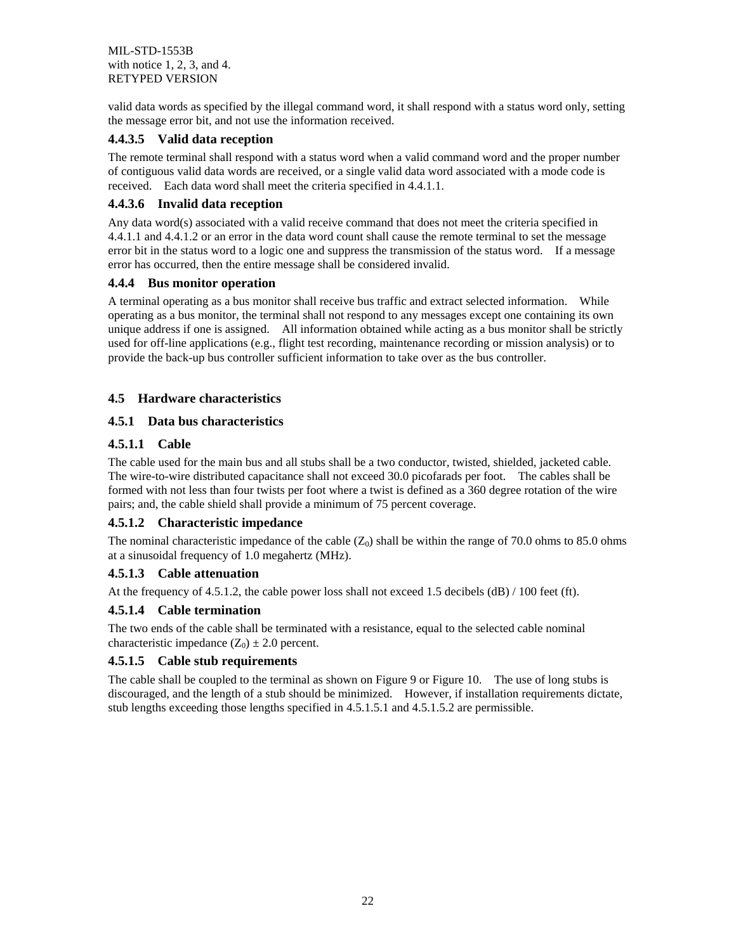valid data words as specified by the illegal command word, it shall respond with a status word only, setting the message error bit, and not use the information received.

#### **4.4.3.5 Valid data reception**

The remote terminal shall respond with a status word when a valid command word and the proper number of contiguous valid data words are received, or a single valid data word associated with a mode code is received. Each data word shall meet the criteria specified in 4.4.1.1.

### **4.4.3.6 Invalid data reception**

Any data word(s) associated with a valid receive command that does not meet the criteria specified in 4.4.1.1 and 4.4.1.2 or an error in the data word count shall cause the remote terminal to set the message error bit in the status word to a logic one and suppress the transmission of the status word. If a message error has occurred, then the entire message shall be considered invalid.

#### **4.4.4 Bus monitor operation**

A terminal operating as a bus monitor shall receive bus traffic and extract selected information. While operating as a bus monitor, the terminal shall not respond to any messages except one containing its own unique address if one is assigned. All information obtained while acting as a bus monitor shall be strictly used for off-line applications (e.g., flight test recording, maintenance recording or mission analysis) or to provide the back-up bus controller sufficient information to take over as the bus controller.

#### **4.5 Hardware characteristics**

# **4.5.1 Data bus characteristics**

#### **4.5.1.1 Cable**

The cable used for the main bus and all stubs shall be a two conductor, twisted, shielded, jacketed cable. The wire-to-wire distributed capacitance shall not exceed 30.0 picofarads per foot. The cables shall be formed with not less than four twists per foot where a twist is defined as a 360 degree rotation of the wire pairs; and, the cable shield shall provide a minimum of 75 percent coverage.

#### **4.5.1.2 Characteristic impedance**

The nominal characteristic impedance of the cable  $(Z_0)$  shall be within the range of 70.0 ohms to 85.0 ohms at a sinusoidal frequency of 1.0 megahertz (MHz).

#### **4.5.1.3 Cable attenuation**

At the frequency of 4.5.1.2, the cable power loss shall not exceed 1.5 decibels (dB)  $/$  100 feet (ft).

#### **4.5.1.4 Cable termination**

The two ends of the cable shall be terminated with a resistance, equal to the selected cable nominal characteristic impedance  $(Z_0) \pm 2.0$  percent.

#### **4.5.1.5 Cable stub requirements**

The cable shall be coupled to the terminal as shown on Figure 9 or Figure 10. The use of long stubs is discouraged, and the length of a stub should be minimized. However, if installation requirements dictate, stub lengths exceeding those lengths specified in 4.5.1.5.1 and 4.5.1.5.2 are permissible.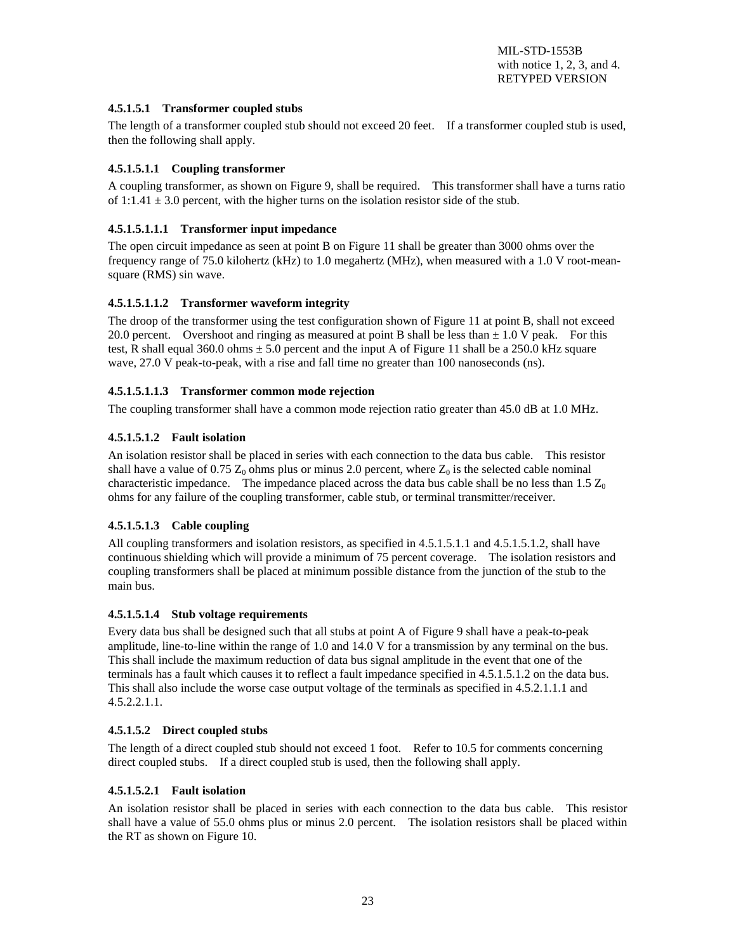#### **4.5.1.5.1 Transformer coupled stubs**

The length of a transformer coupled stub should not exceed 20 feet. If a transformer coupled stub is used, then the following shall apply.

#### **4.5.1.5.1.1 Coupling transformer**

A coupling transformer, as shown on Figure 9, shall be required. This transformer shall have a turns ratio of  $1:1.41 \pm 3.0$  percent, with the higher turns on the isolation resistor side of the stub.

#### **4.5.1.5.1.1.1 Transformer input impedance**

The open circuit impedance as seen at point B on Figure 11 shall be greater than 3000 ohms over the frequency range of 75.0 kilohertz (kHz) to 1.0 megahertz (MHz), when measured with a 1.0 V root-meansquare (RMS) sin wave.

#### **4.5.1.5.1.1.2 Transformer waveform integrity**

The droop of the transformer using the test configuration shown of Figure 11 at point B, shall not exceed 20.0 percent. Overshoot and ringing as measured at point B shall be less than  $\pm$  1.0 V peak. For this test, R shall equal 360.0 ohms  $\pm$  5.0 percent and the input A of Figure 11 shall be a 250.0 kHz square wave, 27.0 V peak-to-peak, with a rise and fall time no greater than 100 nanoseconds (ns).

#### **4.5.1.5.1.1.3 Transformer common mode rejection**

The coupling transformer shall have a common mode rejection ratio greater than 45.0 dB at 1.0 MHz.

#### **4.5.1.5.1.2 Fault isolation**

An isolation resistor shall be placed in series with each connection to the data bus cable. This resistor shall have a value of  $0.75$   $\mathbb{Z}_0$  ohms plus or minus 2.0 percent, where  $\mathbb{Z}_0$  is the selected cable nominal characteristic impedance. The impedance placed across the data bus cable shall be no less than 1.5  $Z_0$ ohms for any failure of the coupling transformer, cable stub, or terminal transmitter/receiver.

#### **4.5.1.5.1.3 Cable coupling**

All coupling transformers and isolation resistors, as specified in 4.5.1.5.1.1 and 4.5.1.5.1.2, shall have continuous shielding which will provide a minimum of 75 percent coverage. The isolation resistors and coupling transformers shall be placed at minimum possible distance from the junction of the stub to the main bus.

#### **4.5.1.5.1.4 Stub voltage requirements**

Every data bus shall be designed such that all stubs at point A of Figure 9 shall have a peak-to-peak amplitude, line-to-line within the range of 1.0 and 14.0 V for a transmission by any terminal on the bus. This shall include the maximum reduction of data bus signal amplitude in the event that one of the terminals has a fault which causes it to reflect a fault impedance specified in 4.5.1.5.1.2 on the data bus. This shall also include the worse case output voltage of the terminals as specified in 4.5.2.1.1.1 and  $4.5.2.2.1.1.$ 

#### **4.5.1.5.2 Direct coupled stubs**

The length of a direct coupled stub should not exceed 1 foot. Refer to 10.5 for comments concerning direct coupled stubs. If a direct coupled stub is used, then the following shall apply.

# **4.5.1.5.2.1 Fault isolation**

An isolation resistor shall be placed in series with each connection to the data bus cable. This resistor shall have a value of 55.0 ohms plus or minus 2.0 percent. The isolation resistors shall be placed within the RT as shown on Figure 10.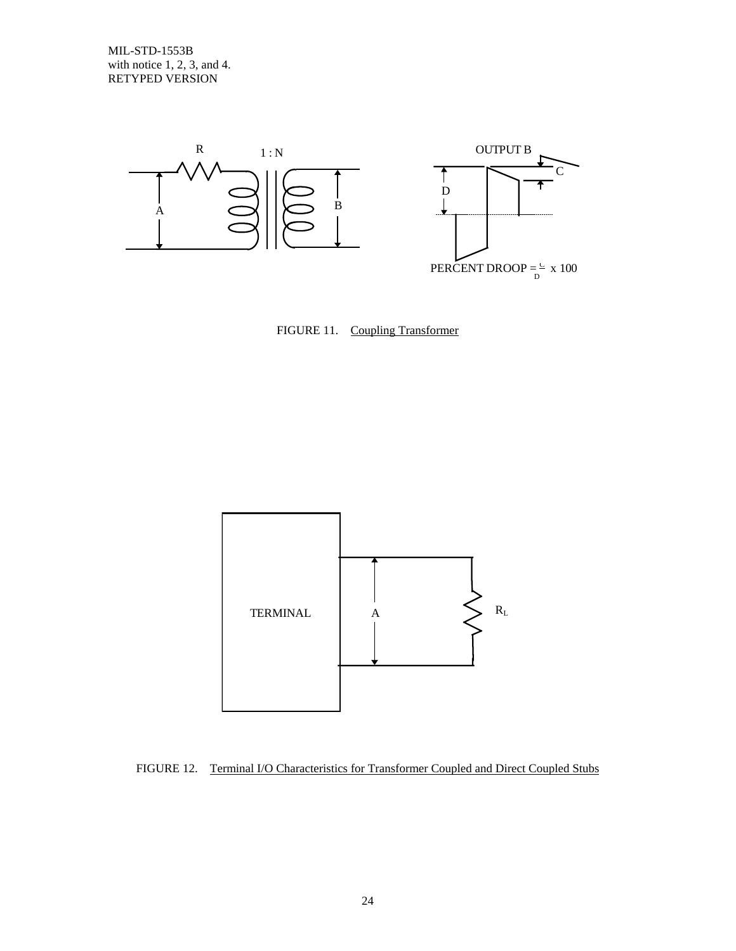





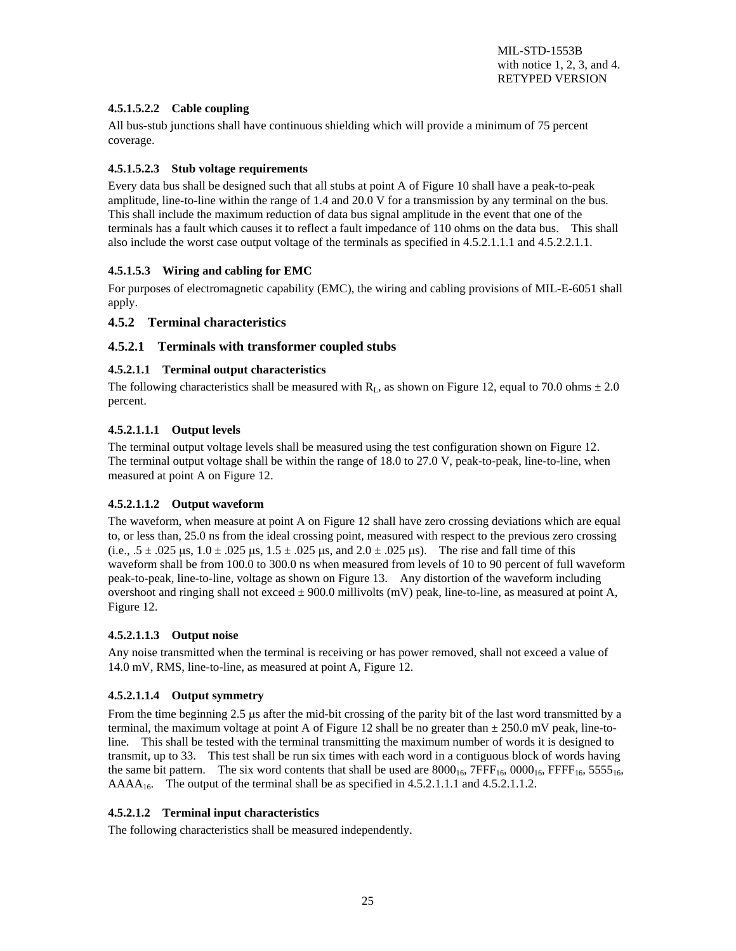#### **4.5.1.5.2.2 Cable coupling**

All bus-stub junctions shall have continuous shielding which will provide a minimum of 75 percent coverage.

#### **4.5.1.5.2.3 Stub voltage requirements**

Every data bus shall be designed such that all stubs at point A of Figure 10 shall have a peak-to-peak amplitude, line-to-line within the range of 1.4 and 20.0 V for a transmission by any terminal on the bus. This shall include the maximum reduction of data bus signal amplitude in the event that one of the terminals has a fault which causes it to reflect a fault impedance of 110 ohms on the data bus. This shall also include the worst case output voltage of the terminals as specified in 4.5.2.1.1.1 and 4.5.2.2.1.1.

#### **4.5.1.5.3 Wiring and cabling for EMC**

For purposes of electromagnetic capability (EMC), the wiring and cabling provisions of MIL-E-6051 shall apply.

#### **4.5.2 Terminal characteristics**

#### **4.5.2.1 Terminals with transformer coupled stubs**

#### **4.5.2.1.1 Terminal output characteristics**

The following characteristics shall be measured with  $R_L$ , as shown on Figure 12, equal to 70.0 ohms  $\pm 2.0$ percent.

#### **4.5.2.1.1.1 Output levels**

The terminal output voltage levels shall be measured using the test configuration shown on Figure 12. The terminal output voltage shall be within the range of 18.0 to 27.0 V, peak-to-peak, line-to-line, when measured at point A on Figure 12.

#### **4.5.2.1.1.2 Output waveform**

The waveform, when measure at point A on Figure 12 shall have zero crossing deviations which are equal to, or less than, 25.0 ns from the ideal crossing point, measured with respect to the previous zero crossing  $(i.e., 0.5 \pm 0.025 \,\mu s, 1.0 \pm 0.025 \,\mu s, 1.5 \pm 0.025 \,\mu s,$  and  $2.0 \pm 0.025 \,\mu s$ . The rise and fall time of this waveform shall be from 100.0 to 300.0 ns when measured from levels of 10 to 90 percent of full waveform peak-to-peak, line-to-line, voltage as shown on Figure 13. Any distortion of the waveform including overshoot and ringing shall not exceed  $\pm$  900.0 millivolts (mV) peak, line-to-line, as measured at point A, Figure 12.

#### **4.5.2.1.1.3 Output noise**

Any noise transmitted when the terminal is receiving or has power removed, shall not exceed a value of 14.0 mV, RMS, line-to-line, as measured at point A, Figure 12.

#### **4.5.2.1.1.4 Output symmetry**

From the time beginning 2.5 µs after the mid-bit crossing of the parity bit of the last word transmitted by a terminal, the maximum voltage at point A of Figure 12 shall be no greater than  $\pm$  250.0 mV peak, line-toline. This shall be tested with the terminal transmitting the maximum number of words it is designed to transmit, up to 33. This test shall be run six times with each word in a contiguous block of words having the same bit pattern. The six word contents that shall be used are  $8000_{16}$ ,  $7FFF_{16}$ ,  $0000_{16}$ ,  $FFF_{16}$ ,  $5555_{16}$ ,  $AAAA_{16}$ . The output of the terminal shall be as specified in 4.5.2.1.1.1 and 4.5.2.1.1.2.

#### **4.5.2.1.2 Terminal input characteristics**

The following characteristics shall be measured independently.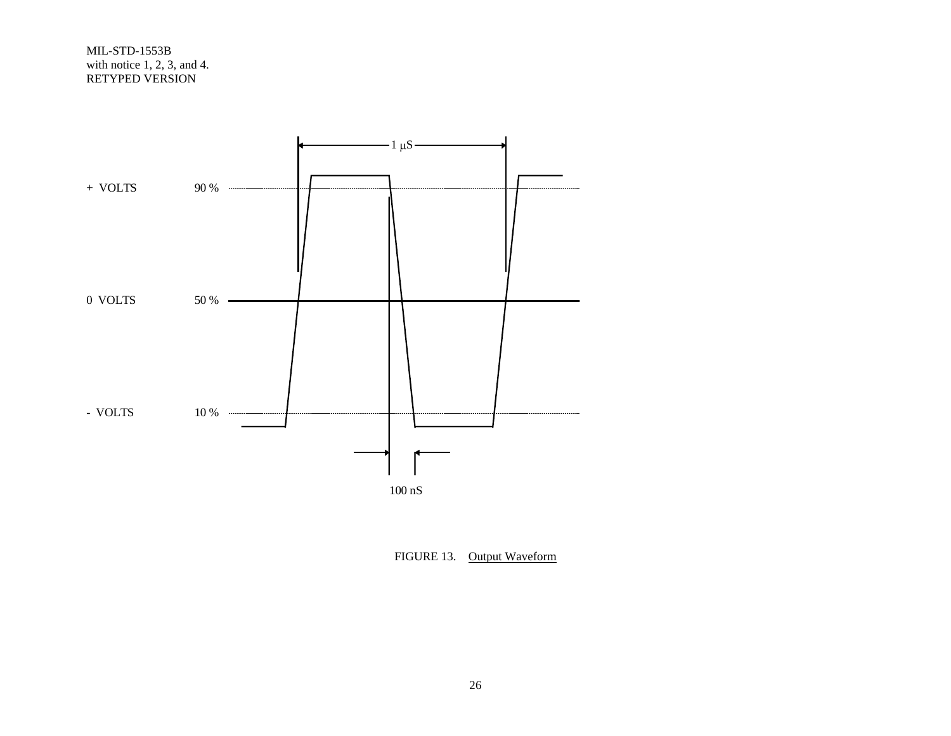

FIGURE 13. Output Waveform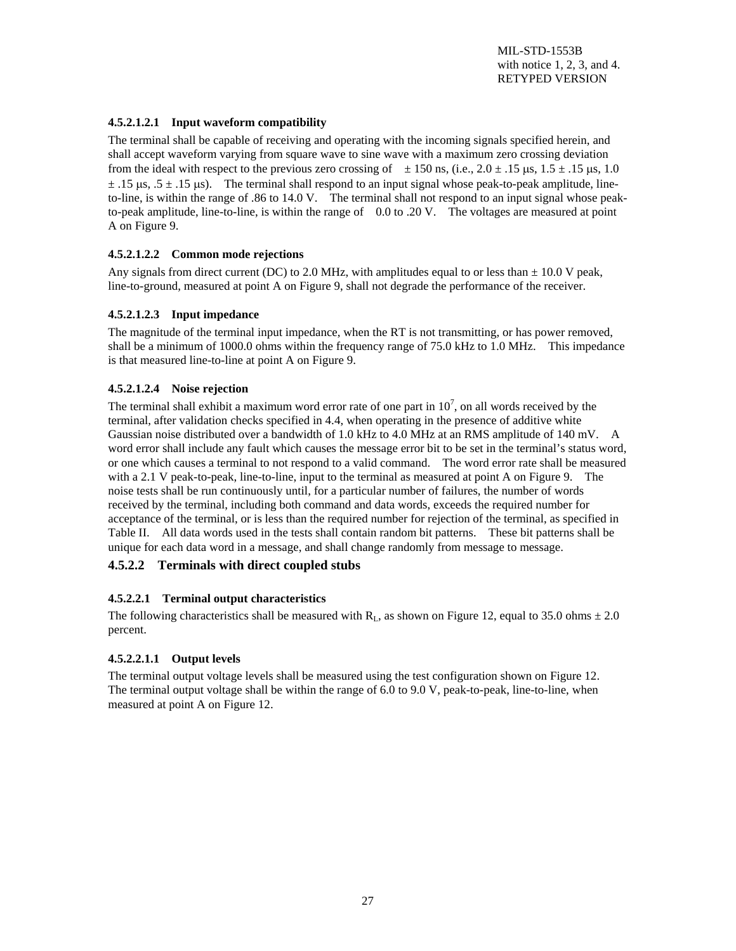#### **4.5.2.1.2.1 Input waveform compatibility**

The terminal shall be capable of receiving and operating with the incoming signals specified herein, and shall accept waveform varying from square wave to sine wave with a maximum zero crossing deviation from the ideal with respect to the previous zero crossing of  $\pm 150$  ns, (i.e.,  $2.0 \pm .15$  µs,  $1.5 \pm .15$  µs, 1.0  $\pm$  .15 us, .5  $\pm$  .15 us). The terminal shall respond to an input signal whose peak-to-peak amplitude, lineto-line, is within the range of .86 to 14.0 V. The terminal shall not respond to an input signal whose peakto-peak amplitude, line-to-line, is within the range of 0.0 to .20 V. The voltages are measured at point A on Figure 9.

#### **4.5.2.1.2.2 Common mode rejections**

Any signals from direct current (DC) to 2.0 MHz, with amplitudes equal to or less than  $\pm$  10.0 V peak, line-to-ground, measured at point A on Figure 9, shall not degrade the performance of the receiver.

#### **4.5.2.1.2.3 Input impedance**

The magnitude of the terminal input impedance, when the RT is not transmitting, or has power removed, shall be a minimum of 1000.0 ohms within the frequency range of 75.0 kHz to 1.0 MHz. This impedance is that measured line-to-line at point A on Figure 9.

#### **4.5.2.1.2.4 Noise rejection**

The terminal shall exhibit a maximum word error rate of one part in  $10^7$ , on all words received by the terminal, after validation checks specified in 4.4, when operating in the presence of additive white Gaussian noise distributed over a bandwidth of 1.0 kHz to 4.0 MHz at an RMS amplitude of 140 mV. A word error shall include any fault which causes the message error bit to be set in the terminal's status word, or one which causes a terminal to not respond to a valid command. The word error rate shall be measured with a 2.1 V peak-to-peak, line-to-line, input to the terminal as measured at point A on Figure 9. The noise tests shall be run continuously until, for a particular number of failures, the number of words received by the terminal, including both command and data words, exceeds the required number for acceptance of the terminal, or is less than the required number for rejection of the terminal, as specified in Table II. All data words used in the tests shall contain random bit patterns. These bit patterns shall be unique for each data word in a message, and shall change randomly from message to message.

#### **4.5.2.2 Terminals with direct coupled stubs**

#### **4.5.2.2.1 Terminal output characteristics**

The following characteristics shall be measured with  $R<sub>L</sub>$ , as shown on Figure 12, equal to 35.0 ohms  $\pm$  2.0 percent.

#### **4.5.2.2.1.1 Output levels**

The terminal output voltage levels shall be measured using the test configuration shown on Figure 12. The terminal output voltage shall be within the range of 6.0 to 9.0 V, peak-to-peak, line-to-line, when measured at point A on Figure 12.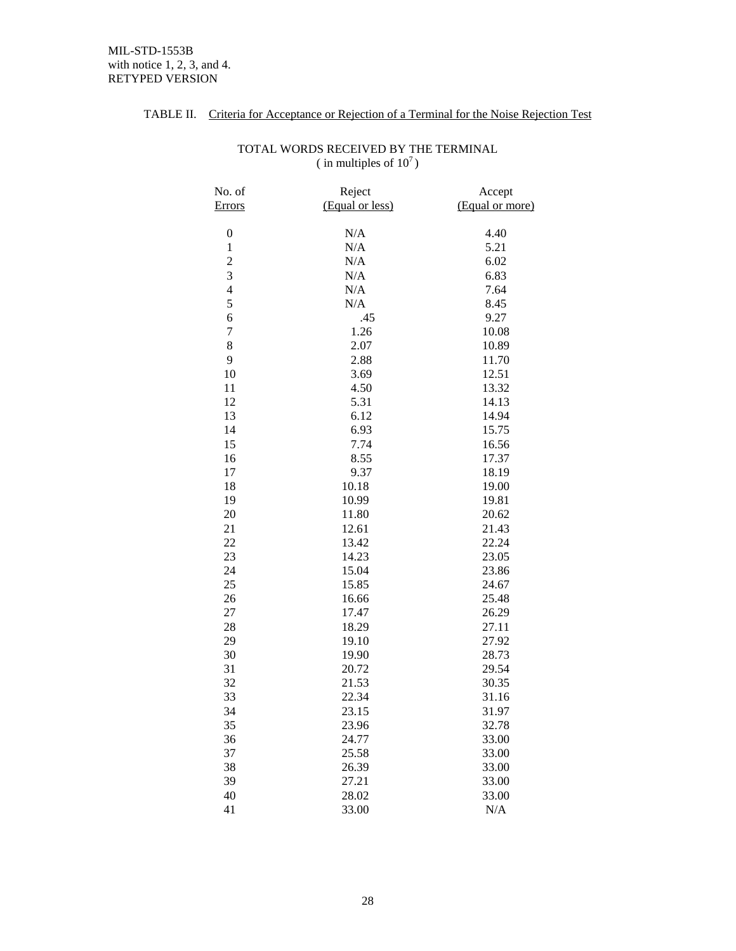| No. of<br><b>Errors</b> | Reject<br>(Equal or less) | Accept<br>(Equal or more) |
|-------------------------|---------------------------|---------------------------|
| $\boldsymbol{0}$        | N/A                       | 4.40                      |
| $\mathbf{1}$            | N/A                       | 5.21                      |
|                         | N/A                       | 6.02                      |
| $\frac{2}{3}$           | N/A                       | 6.83                      |
| $\overline{4}$          | N/A                       | 7.64                      |
| 5                       | N/A                       | 8.45                      |
| 6                       | .45                       | 9.27                      |
| $\overline{7}$          | 1.26                      | 10.08                     |
| 8                       | 2.07                      | 10.89                     |
| 9                       | 2.88                      | 11.70                     |
| 10                      | 3.69                      | 12.51                     |
| 11                      | 4.50                      | 13.32                     |
| 12                      | 5.31                      | 14.13                     |
| 13                      | 6.12                      | 14.94                     |
| 14                      | 6.93                      | 15.75                     |
| 15                      | 7.74                      | 16.56                     |
| 16                      | 8.55                      | 17.37                     |
| 17                      | 9.37                      | 18.19                     |
| 18                      | 10.18                     | 19.00                     |
| 19                      | 10.99                     | 19.81                     |
| 20                      | 11.80                     | 20.62                     |
| 21                      | 12.61                     | 21.43                     |
| 22                      | 13.42                     | 22.24                     |
| 23                      | 14.23                     | 23.05                     |
| 24                      | 15.04                     | 23.86                     |
| 25                      | 15.85                     | 24.67                     |
| 26                      | 16.66                     | 25.48                     |
| 27                      | 17.47                     | 26.29                     |
| 28                      | 18.29                     | 27.11                     |
| 29                      | 19.10                     | 27.92                     |
| 30                      | 19.90                     | 28.73                     |
| 31                      | 20.72                     | 29.54                     |
| 32                      | 21.53                     | 30.35                     |
| 33                      | 22.34                     | 31.16                     |
| 34                      | 23.15                     | 31.97                     |
| 35                      | 23.96                     | 32.78                     |
| 36                      | 24.77                     | 33.00                     |
| 37                      | 25.58                     | 33.00                     |
| 38                      | 26.39                     | 33.00                     |
| 39                      | 27.21                     | 33.00                     |
| 40                      | 28.02                     | 33.00                     |
| 41                      | 33.00                     | N/A                       |

#### TOTAL WORDS RECEIVED BY THE TERMINAL ( in multiples of  $10^7$ )

TABLE II. Criteria for Acceptance or Rejection of a Terminal for the Noise Rejection Test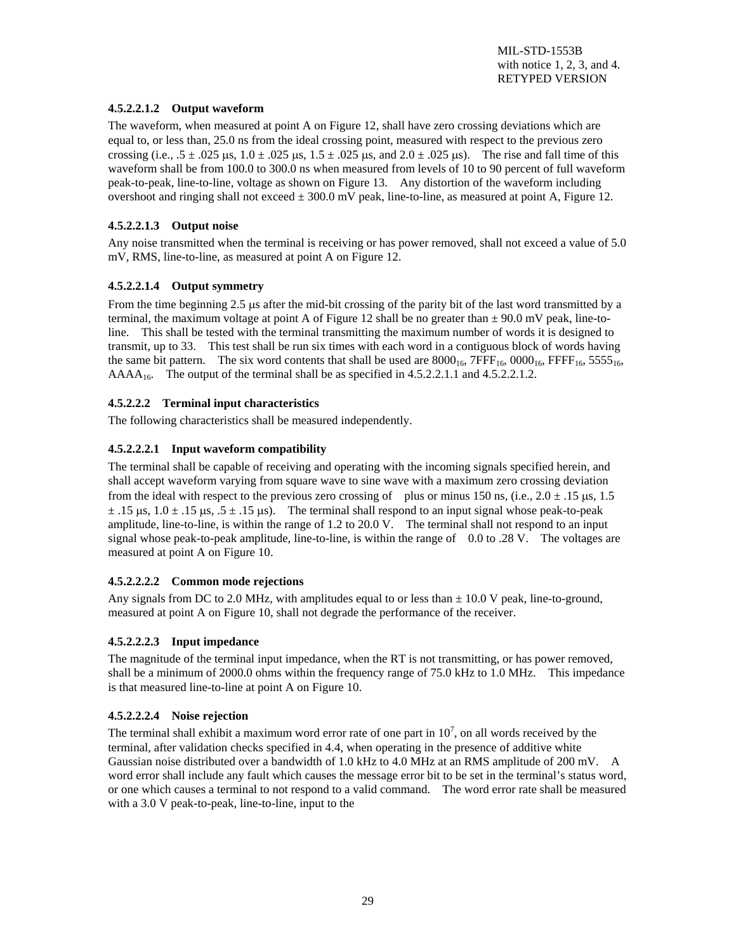#### **4.5.2.2.1.2 Output waveform**

The waveform, when measured at point A on Figure 12, shall have zero crossing deviations which are equal to, or less than, 25.0 ns from the ideal crossing point, measured with respect to the previous zero crossing (i.e.,  $.5 \pm .025$  µs,  $1.0 \pm .025$  µs,  $1.5 \pm .025$  µs, and  $2.0 \pm .025$  µs). The rise and fall time of this waveform shall be from 100.0 to 300.0 ns when measured from levels of 10 to 90 percent of full waveform peak-to-peak, line-to-line, voltage as shown on Figure 13. Any distortion of the waveform including overshoot and ringing shall not exceed  $\pm 300.0$  mV peak, line-to-line, as measured at point A, Figure 12.

#### **4.5.2.2.1.3 Output noise**

Any noise transmitted when the terminal is receiving or has power removed, shall not exceed a value of 5.0 mV, RMS, line-to-line, as measured at point A on Figure 12.

#### **4.5.2.2.1.4 Output symmetry**

From the time beginning 2.5 µs after the mid-bit crossing of the parity bit of the last word transmitted by a terminal, the maximum voltage at point A of Figure 12 shall be no greater than  $\pm$  90.0 mV peak, line-toline. This shall be tested with the terminal transmitting the maximum number of words it is designed to transmit, up to 33. This test shall be run six times with each word in a contiguous block of words having the same bit pattern. The six word contents that shall be used are  $8000_{16}$ ,  $7FFF_{16}$ ,  $0000_{16}$ ,  $FFF_{16}$ ,  $5555_{16}$ ,  $AAAA_{16}$ . The output of the terminal shall be as specified in 4.5.2.2.1.1 and 4.5.2.2.1.2.

#### **4.5.2.2.2 Terminal input characteristics**

The following characteristics shall be measured independently.

#### **4.5.2.2.2.1 Input waveform compatibility**

The terminal shall be capable of receiving and operating with the incoming signals specified herein, and shall accept waveform varying from square wave to sine wave with a maximum zero crossing deviation from the ideal with respect to the previous zero crossing of plus or minus 150 ns, (i.e.,  $2.0 \pm .15$  µs, 1.5  $\pm$  .15  $\mu$ s, 1.0  $\pm$  .15  $\mu$ s, .5  $\pm$  .15  $\mu$ s). The terminal shall respond to an input signal whose peak-to-peak amplitude, line-to-line, is within the range of 1.2 to 20.0 V. The terminal shall not respond to an input signal whose peak-to-peak amplitude, line-to-line, is within the range of 0.0 to .28 V. The voltages are measured at point A on Figure 10.

#### **4.5.2.2.2.2 Common mode rejections**

Any signals from DC to 2.0 MHz, with amplitudes equal to or less than  $\pm$  10.0 V peak, line-to-ground, measured at point A on Figure 10, shall not degrade the performance of the receiver.

#### **4.5.2.2.2.3 Input impedance**

The magnitude of the terminal input impedance, when the RT is not transmitting, or has power removed, shall be a minimum of 2000.0 ohms within the frequency range of 75.0 kHz to 1.0 MHz. This impedance is that measured line-to-line at point A on Figure 10.

#### **4.5.2.2.2.4 Noise rejection**

The terminal shall exhibit a maximum word error rate of one part in  $10^7$ , on all words received by the terminal, after validation checks specified in 4.4, when operating in the presence of additive white Gaussian noise distributed over a bandwidth of 1.0 kHz to 4.0 MHz at an RMS amplitude of 200 mV. A word error shall include any fault which causes the message error bit to be set in the terminal's status word, or one which causes a terminal to not respond to a valid command. The word error rate shall be measured with a 3.0 V peak-to-peak, line-to-line, input to the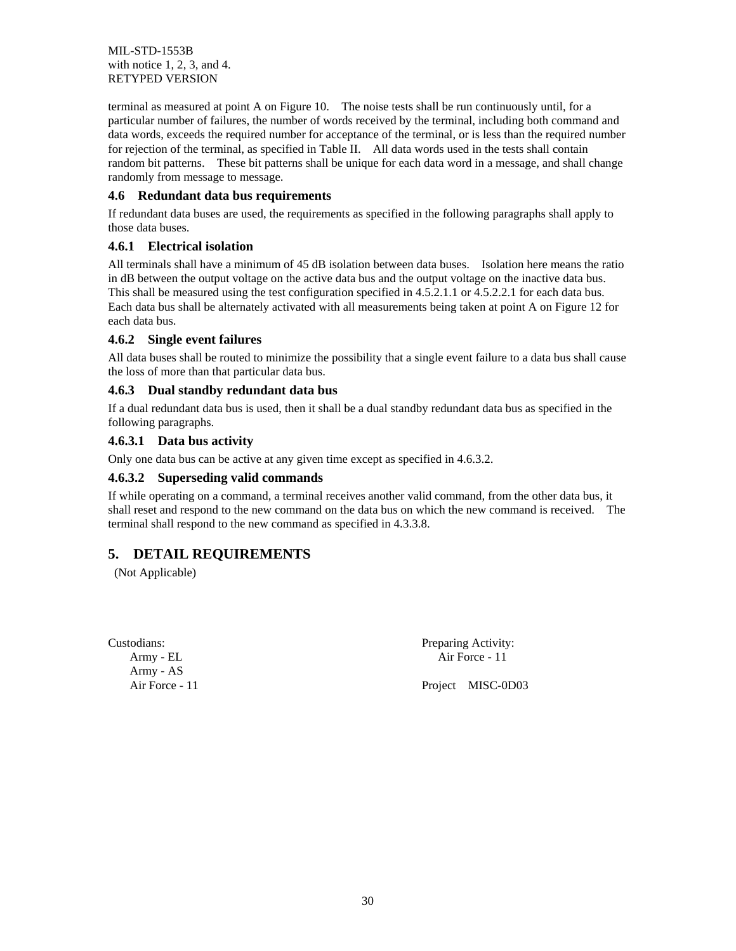terminal as measured at point A on Figure 10. The noise tests shall be run continuously until, for a particular number of failures, the number of words received by the terminal, including both command and data words, exceeds the required number for acceptance of the terminal, or is less than the required number for rejection of the terminal, as specified in Table II. All data words used in the tests shall contain random bit patterns. These bit patterns shall be unique for each data word in a message, and shall change randomly from message to message.

#### **4.6 Redundant data bus requirements**

If redundant data buses are used, the requirements as specified in the following paragraphs shall apply to those data buses.

#### **4.6.1 Electrical isolation**

All terminals shall have a minimum of 45 dB isolation between data buses. Isolation here means the ratio in dB between the output voltage on the active data bus and the output voltage on the inactive data bus. This shall be measured using the test configuration specified in 4.5.2.1.1 or 4.5.2.2.1 for each data bus. Each data bus shall be alternately activated with all measurements being taken at point A on Figure 12 for each data bus.

#### **4.6.2 Single event failures**

All data buses shall be routed to minimize the possibility that a single event failure to a data bus shall cause the loss of more than that particular data bus.

#### **4.6.3 Dual standby redundant data bus**

If a dual redundant data bus is used, then it shall be a dual standby redundant data bus as specified in the following paragraphs.

#### **4.6.3.1 Data bus activity**

Only one data bus can be active at any given time except as specified in 4.6.3.2.

#### **4.6.3.2 Superseding valid commands**

If while operating on a command, a terminal receives another valid command, from the other data bus, it shall reset and respond to the new command on the data bus on which the new command is received. The terminal shall respond to the new command as specified in 4.3.3.8.

# **5. DETAIL REQUIREMENTS**

(Not Applicable)

Army - AS

Custodians: Preparing Activity: Army - EL Air Force - 11

Air Force - 11 Project MISC-0D03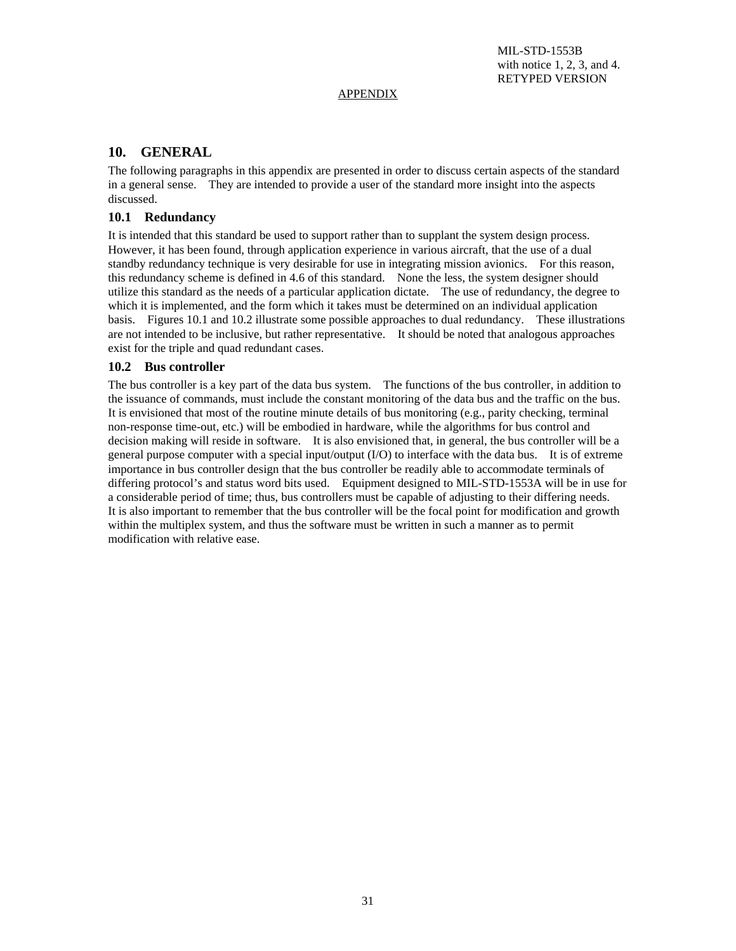#### APPENDIX

# **10. GENERAL**

The following paragraphs in this appendix are presented in order to discuss certain aspects of the standard in a general sense. They are intended to provide a user of the standard more insight into the aspects discussed.

#### **10.1 Redundancy**

It is intended that this standard be used to support rather than to supplant the system design process. However, it has been found, through application experience in various aircraft, that the use of a dual standby redundancy technique is very desirable for use in integrating mission avionics. For this reason, this redundancy scheme is defined in 4.6 of this standard. None the less, the system designer should utilize this standard as the needs of a particular application dictate. The use of redundancy, the degree to which it is implemented, and the form which it takes must be determined on an individual application basis. Figures 10.1 and 10.2 illustrate some possible approaches to dual redundancy. These illustrations are not intended to be inclusive, but rather representative. It should be noted that analogous approaches exist for the triple and quad redundant cases.

#### **10.2 Bus controller**

The bus controller is a key part of the data bus system. The functions of the bus controller, in addition to the issuance of commands, must include the constant monitoring of the data bus and the traffic on the bus. It is envisioned that most of the routine minute details of bus monitoring (e.g., parity checking, terminal non-response time-out, etc.) will be embodied in hardware, while the algorithms for bus control and decision making will reside in software. It is also envisioned that, in general, the bus controller will be a general purpose computer with a special input/output (I/O) to interface with the data bus. It is of extreme importance in bus controller design that the bus controller be readily able to accommodate terminals of differing protocol's and status word bits used. Equipment designed to MIL-STD-1553A will be in use for a considerable period of time; thus, bus controllers must be capable of adjusting to their differing needs. It is also important to remember that the bus controller will be the focal point for modification and growth within the multiplex system, and thus the software must be written in such a manner as to permit modification with relative ease.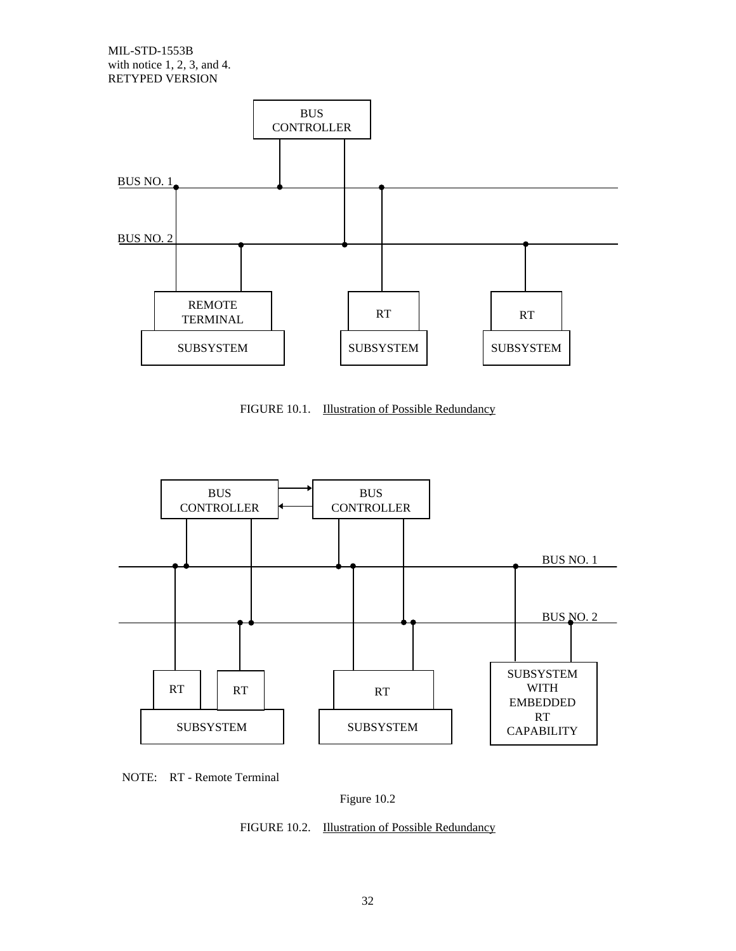

FIGURE 10.1. **Illustration of Possible Redundancy** 





Figure 10.2

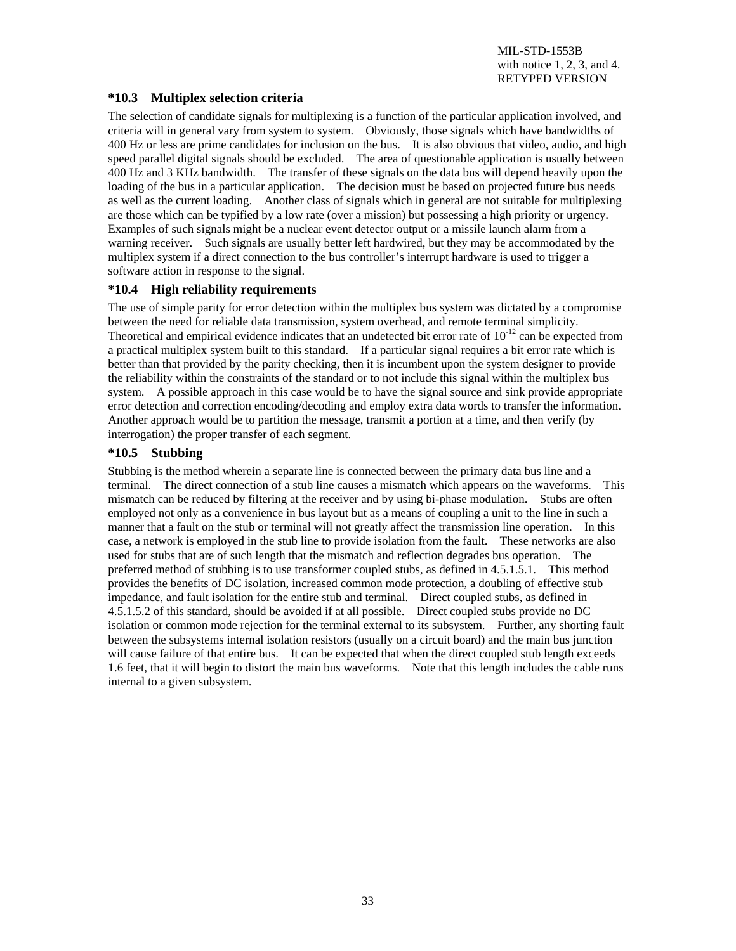#### **\*10.3 Multiplex selection criteria**

The selection of candidate signals for multiplexing is a function of the particular application involved, and criteria will in general vary from system to system. Obviously, those signals which have bandwidths of 400 Hz or less are prime candidates for inclusion on the bus. It is also obvious that video, audio, and high speed parallel digital signals should be excluded. The area of questionable application is usually between 400 Hz and 3 KHz bandwidth. The transfer of these signals on the data bus will depend heavily upon the loading of the bus in a particular application. The decision must be based on projected future bus needs as well as the current loading. Another class of signals which in general are not suitable for multiplexing are those which can be typified by a low rate (over a mission) but possessing a high priority or urgency. Examples of such signals might be a nuclear event detector output or a missile launch alarm from a warning receiver. Such signals are usually better left hardwired, but they may be accommodated by the multiplex system if a direct connection to the bus controller's interrupt hardware is used to trigger a software action in response to the signal.

#### **\*10.4 High reliability requirements**

The use of simple parity for error detection within the multiplex bus system was dictated by a compromise between the need for reliable data transmission, system overhead, and remote terminal simplicity. Theoretical and empirical evidence indicates that an undetected bit error rate of  $10^{-12}$  can be expected from a practical multiplex system built to this standard. If a particular signal requires a bit error rate which is better than that provided by the parity checking, then it is incumbent upon the system designer to provide the reliability within the constraints of the standard or to not include this signal within the multiplex bus system. A possible approach in this case would be to have the signal source and sink provide appropriate error detection and correction encoding/decoding and employ extra data words to transfer the information. Another approach would be to partition the message, transmit a portion at a time, and then verify (by interrogation) the proper transfer of each segment.

#### **\*10.5 Stubbing**

Stubbing is the method wherein a separate line is connected between the primary data bus line and a terminal. The direct connection of a stub line causes a mismatch which appears on the waveforms. This mismatch can be reduced by filtering at the receiver and by using bi-phase modulation. Stubs are often employed not only as a convenience in bus layout but as a means of coupling a unit to the line in such a manner that a fault on the stub or terminal will not greatly affect the transmission line operation. In this case, a network is employed in the stub line to provide isolation from the fault. These networks are also used for stubs that are of such length that the mismatch and reflection degrades bus operation. The preferred method of stubbing is to use transformer coupled stubs, as defined in 4.5.1.5.1. This method provides the benefits of DC isolation, increased common mode protection, a doubling of effective stub impedance, and fault isolation for the entire stub and terminal. Direct coupled stubs, as defined in 4.5.1.5.2 of this standard, should be avoided if at all possible. Direct coupled stubs provide no DC isolation or common mode rejection for the terminal external to its subsystem. Further, any shorting fault between the subsystems internal isolation resistors (usually on a circuit board) and the main bus junction will cause failure of that entire bus. It can be expected that when the direct coupled stub length exceeds 1.6 feet, that it will begin to distort the main bus waveforms. Note that this length includes the cable runs internal to a given subsystem.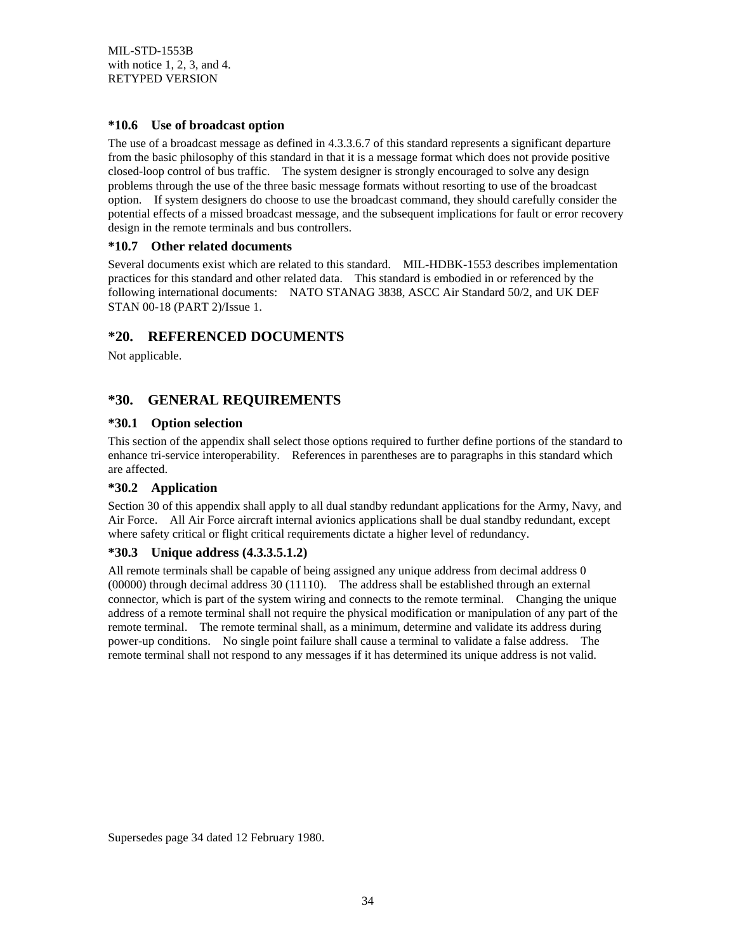#### **\*10.6 Use of broadcast option**

The use of a broadcast message as defined in 4.3.3.6.7 of this standard represents a significant departure from the basic philosophy of this standard in that it is a message format which does not provide positive closed-loop control of bus traffic. The system designer is strongly encouraged to solve any design problems through the use of the three basic message formats without resorting to use of the broadcast option. If system designers do choose to use the broadcast command, they should carefully consider the potential effects of a missed broadcast message, and the subsequent implications for fault or error recovery design in the remote terminals and bus controllers.

#### **\*10.7 Other related documents**

Several documents exist which are related to this standard. MIL-HDBK-1553 describes implementation practices for this standard and other related data. This standard is embodied in or referenced by the following international documents: NATO STANAG 3838, ASCC Air Standard 50/2, and UK DEF STAN 00-18 (PART 2)/Issue 1.

# **\*20. REFERENCED DOCUMENTS**

Not applicable.

# **\*30. GENERAL REQUIREMENTS**

#### **\*30.1 Option selection**

This section of the appendix shall select those options required to further define portions of the standard to enhance tri-service interoperability. References in parentheses are to paragraphs in this standard which are affected.

#### **\*30.2 Application**

Section 30 of this appendix shall apply to all dual standby redundant applications for the Army, Navy, and Air Force. All Air Force aircraft internal avionics applications shall be dual standby redundant, except where safety critical or flight critical requirements dictate a higher level of redundancy.

#### **\*30.3 Unique address (4.3.3.5.1.2)**

All remote terminals shall be capable of being assigned any unique address from decimal address 0 (00000) through decimal address 30 (11110). The address shall be established through an external connector, which is part of the system wiring and connects to the remote terminal. Changing the unique address of a remote terminal shall not require the physical modification or manipulation of any part of the remote terminal. The remote terminal shall, as a minimum, determine and validate its address during power-up conditions. No single point failure shall cause a terminal to validate a false address. The remote terminal shall not respond to any messages if it has determined its unique address is not valid.

Supersedes page 34 dated 12 February 1980.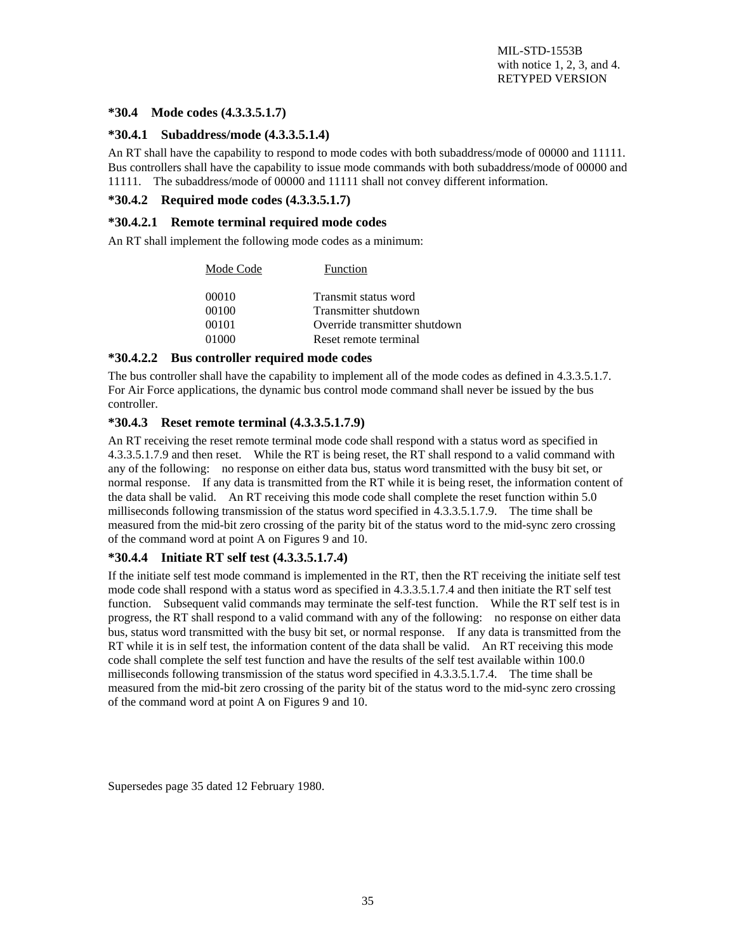#### **\*30.4 Mode codes (4.3.3.5.1.7)**

#### **\*30.4.1 Subaddress/mode (4.3.3.5.1.4)**

An RT shall have the capability to respond to mode codes with both subaddress/mode of 00000 and 11111. Bus controllers shall have the capability to issue mode commands with both subaddress/mode of 00000 and 11111. The subaddress/mode of 00000 and 11111 shall not convey different information.

#### **\*30.4.2 Required mode codes (4.3.3.5.1.7)**

#### **\*30.4.2.1 Remote terminal required mode codes**

An RT shall implement the following mode codes as a minimum:

| Mode Code | Function                      |
|-----------|-------------------------------|
| 00010     | Transmit status word          |
| 00100     | Transmitter shutdown          |
| 00101     | Override transmitter shutdown |
| 01000     | Reset remote terminal         |

#### **\*30.4.2.2 Bus controller required mode codes**

The bus controller shall have the capability to implement all of the mode codes as defined in 4.3.3.5.1.7. For Air Force applications, the dynamic bus control mode command shall never be issued by the bus controller.

#### **\*30.4.3 Reset remote terminal (4.3.3.5.1.7.9)**

An RT receiving the reset remote terminal mode code shall respond with a status word as specified in 4.3.3.5.1.7.9 and then reset. While the RT is being reset, the RT shall respond to a valid command with any of the following: no response on either data bus, status word transmitted with the busy bit set, or normal response. If any data is transmitted from the RT while it is being reset, the information content of the data shall be valid. An RT receiving this mode code shall complete the reset function within 5.0 milliseconds following transmission of the status word specified in 4.3.3.5.1.7.9. The time shall be measured from the mid-bit zero crossing of the parity bit of the status word to the mid-sync zero crossing of the command word at point A on Figures 9 and 10.

#### **\*30.4.4 Initiate RT self test (4.3.3.5.1.7.4)**

If the initiate self test mode command is implemented in the RT, then the RT receiving the initiate self test mode code shall respond with a status word as specified in 4.3.3.5.1.7.4 and then initiate the RT self test function. Subsequent valid commands may terminate the self-test function. While the RT self test is in progress, the RT shall respond to a valid command with any of the following: no response on either data bus, status word transmitted with the busy bit set, or normal response. If any data is transmitted from the RT while it is in self test, the information content of the data shall be valid. An RT receiving this mode code shall complete the self test function and have the results of the self test available within 100.0 milliseconds following transmission of the status word specified in 4.3.3.5.1.7.4. The time shall be measured from the mid-bit zero crossing of the parity bit of the status word to the mid-sync zero crossing of the command word at point A on Figures 9 and 10.

Supersedes page 35 dated 12 February 1980.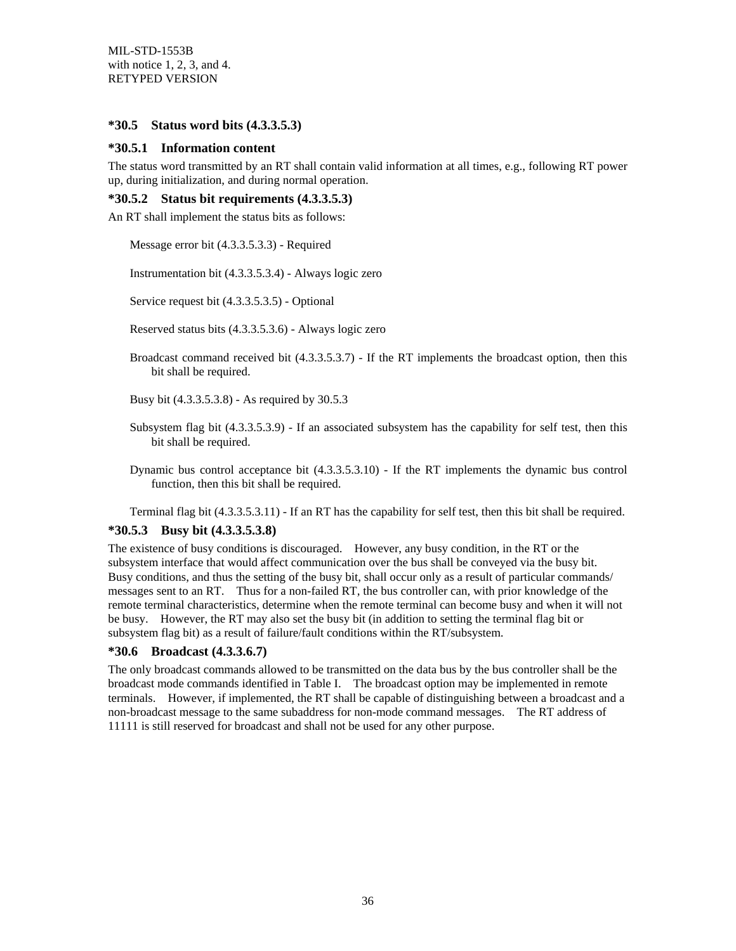#### **\*30.5 Status word bits (4.3.3.5.3)**

#### **\*30.5.1 Information content**

The status word transmitted by an RT shall contain valid information at all times, e.g., following RT power up, during initialization, and during normal operation.

#### **\*30.5.2 Status bit requirements (4.3.3.5.3)**

An RT shall implement the status bits as follows:

Message error bit (4.3.3.5.3.3) - Required

Instrumentation bit (4.3.3.5.3.4) - Always logic zero

Service request bit (4.3.3.5.3.5) - Optional

Reserved status bits (4.3.3.5.3.6) - Always logic zero

Broadcast command received bit (4.3.3.5.3.7) - If the RT implements the broadcast option, then this bit shall be required.

Busy bit (4.3.3.5.3.8) - As required by 30.5.3

- Subsystem flag bit (4.3.3.5.3.9) If an associated subsystem has the capability for self test, then this bit shall be required.
- Dynamic bus control acceptance bit (4.3.3.5.3.10) If the RT implements the dynamic bus control function, then this bit shall be required.

Terminal flag bit (4.3.3.5.3.11) - If an RT has the capability for self test, then this bit shall be required.

#### **\*30.5.3 Busy bit (4.3.3.5.3.8)**

The existence of busy conditions is discouraged. However, any busy condition, in the RT or the subsystem interface that would affect communication over the bus shall be conveyed via the busy bit. Busy conditions, and thus the setting of the busy bit, shall occur only as a result of particular commands/ messages sent to an RT. Thus for a non-failed RT, the bus controller can, with prior knowledge of the remote terminal characteristics, determine when the remote terminal can become busy and when it will not be busy. However, the RT may also set the busy bit (in addition to setting the terminal flag bit or subsystem flag bit) as a result of failure/fault conditions within the RT/subsystem.

#### **\*30.6 Broadcast (4.3.3.6.7)**

The only broadcast commands allowed to be transmitted on the data bus by the bus controller shall be the broadcast mode commands identified in Table I. The broadcast option may be implemented in remote terminals. However, if implemented, the RT shall be capable of distinguishing between a broadcast and a non-broadcast message to the same subaddress for non-mode command messages. The RT address of 11111 is still reserved for broadcast and shall not be used for any other purpose.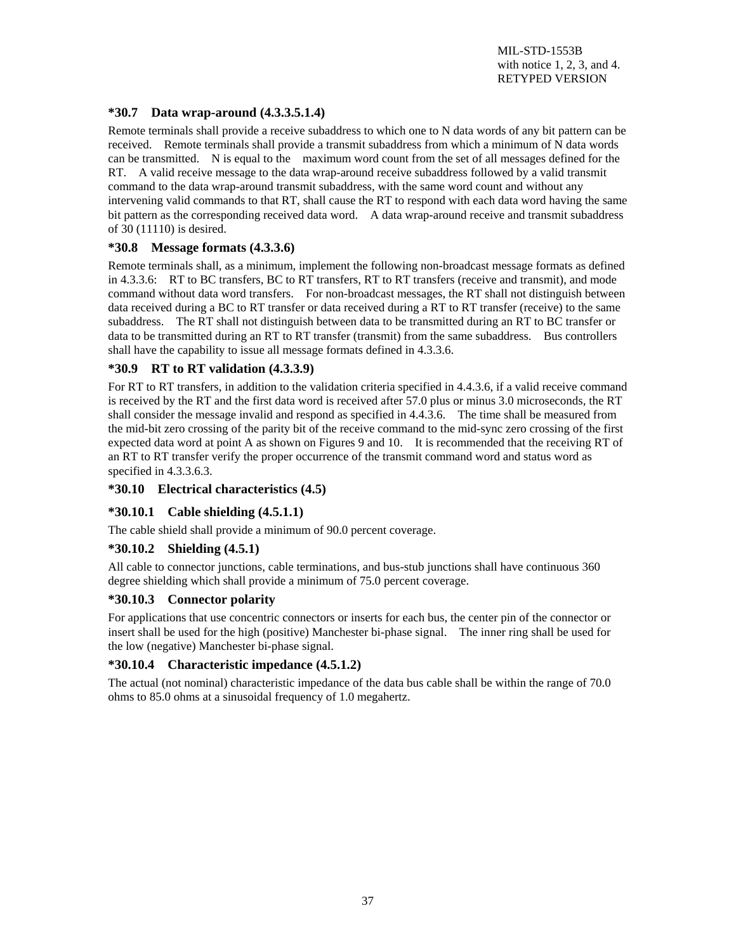#### **\*30.7 Data wrap-around (4.3.3.5.1.4)**

Remote terminals shall provide a receive subaddress to which one to N data words of any bit pattern can be received. Remote terminals shall provide a transmit subaddress from which a minimum of N data words can be transmitted. N is equal to the maximum word count from the set of all messages defined for the RT. A valid receive message to the data wrap-around receive subaddress followed by a valid transmit command to the data wrap-around transmit subaddress, with the same word count and without any intervening valid commands to that RT, shall cause the RT to respond with each data word having the same bit pattern as the corresponding received data word. A data wrap-around receive and transmit subaddress of 30 (11110) is desired.

#### **\*30.8 Message formats (4.3.3.6)**

Remote terminals shall, as a minimum, implement the following non-broadcast message formats as defined in 4.3.3.6: RT to BC transfers, BC to RT transfers, RT to RT transfers (receive and transmit), and mode command without data word transfers. For non-broadcast messages, the RT shall not distinguish between data received during a BC to RT transfer or data received during a RT to RT transfer (receive) to the same subaddress. The RT shall not distinguish between data to be transmitted during an RT to BC transfer or data to be transmitted during an RT to RT transfer (transmit) from the same subaddress. Bus controllers shall have the capability to issue all message formats defined in 4.3.3.6.

#### **\*30.9 RT to RT validation (4.3.3.9)**

For RT to RT transfers, in addition to the validation criteria specified in 4.4.3.6, if a valid receive command is received by the RT and the first data word is received after 57.0 plus or minus 3.0 microseconds, the RT shall consider the message invalid and respond as specified in 4.4.3.6. The time shall be measured from the mid-bit zero crossing of the parity bit of the receive command to the mid-sync zero crossing of the first expected data word at point A as shown on Figures 9 and 10. It is recommended that the receiving RT of an RT to RT transfer verify the proper occurrence of the transmit command word and status word as specified in 4.3.3.6.3.

#### **\*30.10 Electrical characteristics (4.5)**

#### **\*30.10.1 Cable shielding (4.5.1.1)**

The cable shield shall provide a minimum of 90.0 percent coverage.

#### **\*30.10.2 Shielding (4.5.1)**

All cable to connector junctions, cable terminations, and bus-stub junctions shall have continuous 360 degree shielding which shall provide a minimum of 75.0 percent coverage.

#### **\*30.10.3 Connector polarity**

For applications that use concentric connectors or inserts for each bus, the center pin of the connector or insert shall be used for the high (positive) Manchester bi-phase signal. The inner ring shall be used for the low (negative) Manchester bi-phase signal.

#### **\*30.10.4 Characteristic impedance (4.5.1.2)**

The actual (not nominal) characteristic impedance of the data bus cable shall be within the range of 70.0 ohms to 85.0 ohms at a sinusoidal frequency of 1.0 megahertz.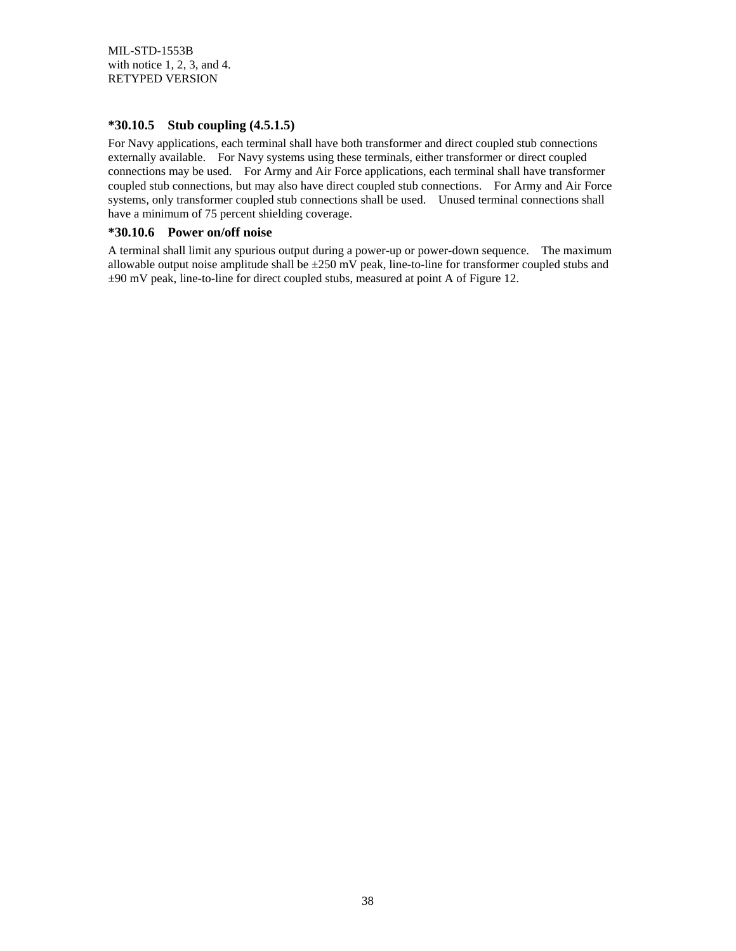#### **\*30.10.5 Stub coupling (4.5.1.5)**

For Navy applications, each terminal shall have both transformer and direct coupled stub connections externally available. For Navy systems using these terminals, either transformer or direct coupled connections may be used. For Army and Air Force applications, each terminal shall have transformer coupled stub connections, but may also have direct coupled stub connections. For Army and Air Force systems, only transformer coupled stub connections shall be used. Unused terminal connections shall have a minimum of 75 percent shielding coverage.

#### **\*30.10.6 Power on/off noise**

A terminal shall limit any spurious output during a power-up or power-down sequence. The maximum allowable output noise amplitude shall be  $\pm 250$  mV peak, line-to-line for transformer coupled stubs and ±90 mV peak, line-to-line for direct coupled stubs, measured at point A of Figure 12.